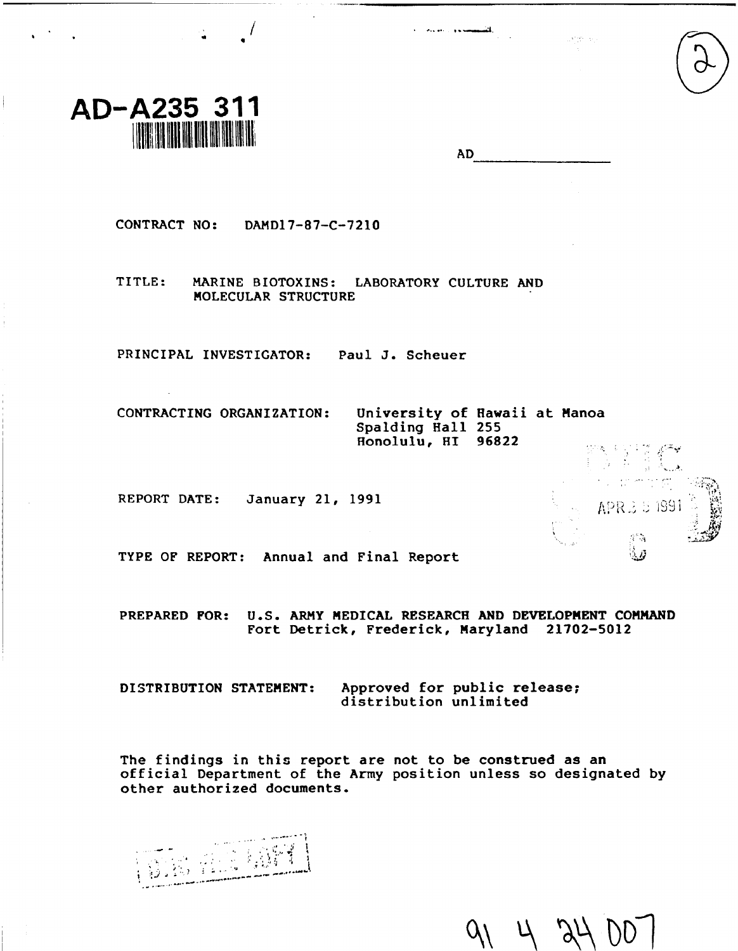| AD-A235 311                     |  |  |
|---------------------------------|--|--|
| <b>HAR HEAR ALL AND ALL ALL</b> |  |  |

AD

and the companion of the companion of the

**CONTRACT NO: DAD17-87-C-7210**

TITLE: MARINE BIOTOXINS: LABORATORY CULTURE AND MOLECULAR STRUCTURE

PRINCIPAL INVESTIGATOR: Paul J. Scheuer

CONTRACTING ORGANIZATION: University of Hawaii at Manoa Spalding Hall 255 Honolulu, HI **96822**

REPORT DATE: January 21, 1991

TYPE OF REPORT: Annual and Final Report

PREPARED FOR: **U.S.** ARMY **MEDICAL** RESEARCH **AND DEVELOPMENT** COMMAND Fort Detrick, Frederick, Maryland 21702-5012

DISTRIBUTION STATEMENT: Approved for public release; distribution unlimited

The findings in this report are not to be construed as an official Department of the Army position unless so designated by other authorized documents.

R ALL AN

APR 3 5 199

 $\mathcal{R}^{\text{R}}$  and  $\Lambda_B$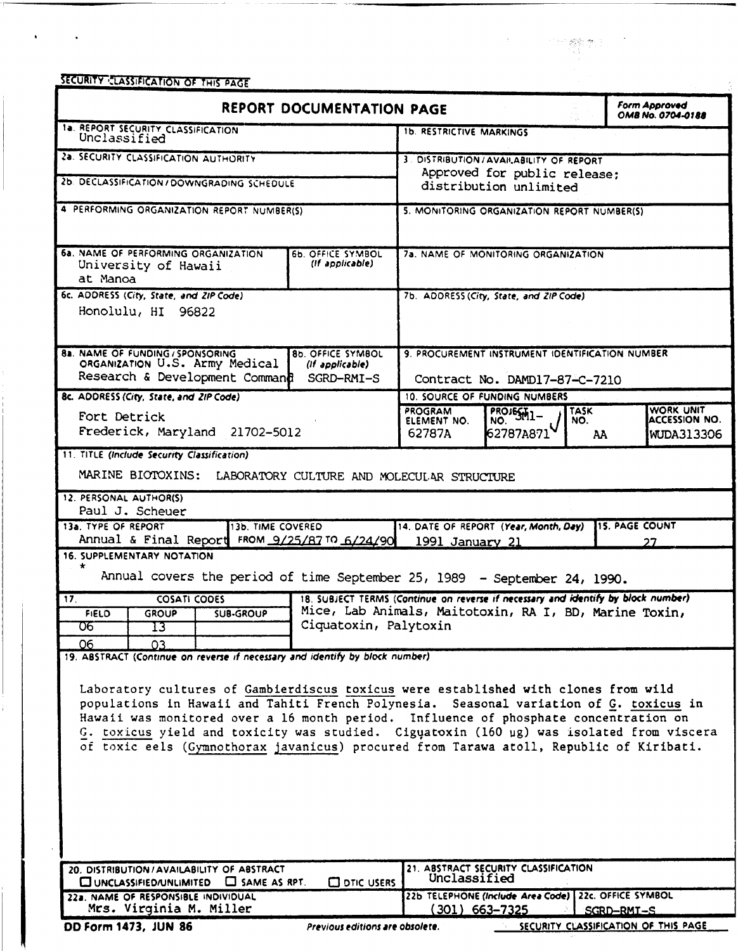**SECURITY CLASSIFICATION OF THIS PAGE** 

 $\bullet$ 

 $\sim$   $\sim$ 

| SECURITY CLASSIFICATION OF THIS PAGE                                                                                                                                                                                                                                                                                                                                                                                                                         |                                                                                                                                                                      |                                                                          |                                                        |                                          |                                    |
|--------------------------------------------------------------------------------------------------------------------------------------------------------------------------------------------------------------------------------------------------------------------------------------------------------------------------------------------------------------------------------------------------------------------------------------------------------------|----------------------------------------------------------------------------------------------------------------------------------------------------------------------|--------------------------------------------------------------------------|--------------------------------------------------------|------------------------------------------|------------------------------------|
|                                                                                                                                                                                                                                                                                                                                                                                                                                                              | <b>REPORT DOCUMENTATION PAGE</b>                                                                                                                                     |                                                                          |                                                        |                                          | Form Approved<br>OMB No. 0704-0188 |
| 1a. REPORT SECURITY CLASSIFICATION<br>Unclassified                                                                                                                                                                                                                                                                                                                                                                                                           |                                                                                                                                                                      | <b>1b. RESTRICTIVE MARKINGS</b>                                          |                                                        |                                          |                                    |
| 2a. SECURITY CLASSIFICATION AUTHORITY<br>2b. DECLASSIFICATION / DOWNGRADING SCHEDULE                                                                                                                                                                                                                                                                                                                                                                         |                                                                                                                                                                      | 3. DISTRIBUTION/AVAILABILITY OF REPORT                                   | Approved for public release;<br>distribution unlimited |                                          |                                    |
| 4 PERFORMING ORGANIZATION REPORT NUMBER(S)                                                                                                                                                                                                                                                                                                                                                                                                                   |                                                                                                                                                                      | 5. MONITORING ORGANIZATION REPORT NUMBER(S)                              |                                                        |                                          |                                    |
| 6a. NAME OF PERFORMING ORGANIZATION<br>University of Hawaii<br>at Manoa                                                                                                                                                                                                                                                                                                                                                                                      | <b>6b. OFFICE SYMBOL</b><br>(If applicable)                                                                                                                          | 7a. NAME OF MONITORING ORGANIZATION                                      |                                                        |                                          |                                    |
| 6c. ADDRESS (City, State, and ZIP Code)<br>Honolulu, HI 96822                                                                                                                                                                                                                                                                                                                                                                                                |                                                                                                                                                                      | 7b. ADORESS (City, State, and ZIP Code)                                  |                                                        |                                          |                                    |
| 8a. NAME OF FUNDING / SPONSORING<br>ORGANIZATION U.S. Army Medical<br>Research & Development Command                                                                                                                                                                                                                                                                                                                                                         | <b>8b. OFFICE SYMBOL</b><br>(If applicable)<br>SGRD-RMI-S                                                                                                            | 9. PROCUREMENT INSTRUMENT IDENTIFICATION NUMBER                          | Contract No. DAMD17-87-C-7210                          |                                          |                                    |
| 8c. ADDRESS (City, State, and ZIP Code)                                                                                                                                                                                                                                                                                                                                                                                                                      |                                                                                                                                                                      | 10. SOURCE OF FUNDING NUMBERS                                            |                                                        |                                          |                                    |
| Fort Detrick<br>Frederick, Maryland 21702-5012                                                                                                                                                                                                                                                                                                                                                                                                               | <b>PROGRAM</b><br>ELEMENT NO.<br>62787A                                                                                                                              | PROJESM1-<br>62787A871                                                   | TASK<br>NO.<br>AA                                      | WORK UNIT<br>ACCESSION NO.<br>WUDA313306 |                                    |
| 11. TITLE (Include Security Classification)<br>MARINE BIOTOXINS:                                                                                                                                                                                                                                                                                                                                                                                             | LABORATORY CULTURE AND MOLECULAR STRUCTURE                                                                                                                           |                                                                          |                                                        |                                          |                                    |
| 12. PERSONAL AUTHOR(S)<br>Paul J. Scheuer                                                                                                                                                                                                                                                                                                                                                                                                                    |                                                                                                                                                                      |                                                                          |                                                        |                                          |                                    |
| 13a. TYPE OF REPORT<br>13b. TIME COVERED<br>Annual & Final Report FROM 9/25/87 TO 6/24/90                                                                                                                                                                                                                                                                                                                                                                    |                                                                                                                                                                      | 14. DATE OF REPORT (Year, Month, Day)<br>1991 January 21                 |                                                        |                                          | <b>15. PAGE COUNT</b><br>27        |
| 16. SUPPLEMENTARY NOTATION                                                                                                                                                                                                                                                                                                                                                                                                                                   |                                                                                                                                                                      |                                                                          |                                                        |                                          |                                    |
| *<br>Annual covers the period of time September 25, 1989 - September 24, 1990.                                                                                                                                                                                                                                                                                                                                                                               |                                                                                                                                                                      |                                                                          |                                                        |                                          |                                    |
| 17 <sub>1</sub><br><b>COSATI CODES</b><br><b>SUB-GROUP</b><br><b>FIELD</b><br><b>GROUP</b><br>०६<br>13<br>03<br>06                                                                                                                                                                                                                                                                                                                                           | 18. SUBJECT TERMS (Continue on reverse if necessary and identify by block number)<br>Mice, Lab Animals, Maitotoxin, RA I, BD, Marine Toxin,<br>Ciquatoxin, Palytoxin |                                                                          |                                                        |                                          |                                    |
| 19. ABSTRACT (Continue on reverse if necessary and identify by block number)                                                                                                                                                                                                                                                                                                                                                                                 |                                                                                                                                                                      |                                                                          |                                                        |                                          |                                    |
| Laboratory cultures of Gambierdiscus toxicus were established with clones from wild<br>populations in Hawaii and Tahiti French Polynesia. Seasonal variation of G. toxicus in<br>Hawaii was monitored over a 16 month period. Influence of phosphate concentration on<br>G. toxicus yield and toxicity was studied. Ciguatoxin (160 µg) was isolated from viscera<br>of toxic eels (Gymnothorax javanicus) procured from Tarawa atoll, Republic of Kiribati. |                                                                                                                                                                      |                                                                          |                                                        |                                          |                                    |
| 20. DISTRIBUTION / AVAILABILITY OF ABSTRACT<br>CUNCLASSIFIED/UNLIMITED C SAME AS RPT.                                                                                                                                                                                                                                                                                                                                                                        | O DTIC USERS                                                                                                                                                         | Unclassified                                                             | 21. ABSTRACT SECURITY CLASSIFICATION                   |                                          |                                    |
| 22a. NAME OF RESPONSIBLE INDIVIDUAL<br>Mrs. Virginia M. Miller                                                                                                                                                                                                                                                                                                                                                                                               |                                                                                                                                                                      | 22b TELEPHONE (Include Area Code) 22c. OFFICE SYMBOL<br>$(301)$ 663-7325 |                                                        |                                          | SGRD-RMI-S                         |

**DD Form 1473, JUN 86 Previous editions are obsolete.** SECURITY CLASSIFICATION OF THIS PAGE

 $\label{eq:2.1} \begin{split} \mathcal{C}^{(1)}(t) &= \mathcal{C}^{(1)}(t) \text{ and } \mathcal{C}^{(2)}(t) = \frac{1}{2} \sum_{i=1}^{n} \frac{1}{2} \sum_{j=1}^{n} \frac{1}{2} \sum_{j=1}^{n} \frac{1}{2} \sum_{j=1}^{n} \frac{1}{2} \sum_{j=1}^{n} \frac{1}{2} \sum_{j=1}^{n} \frac{1}{2} \sum_{j=1}^{n} \frac{1}{2} \sum_{j=1}^{n} \frac{1}{2} \sum_{j=1}^{n} \frac{1}{2}$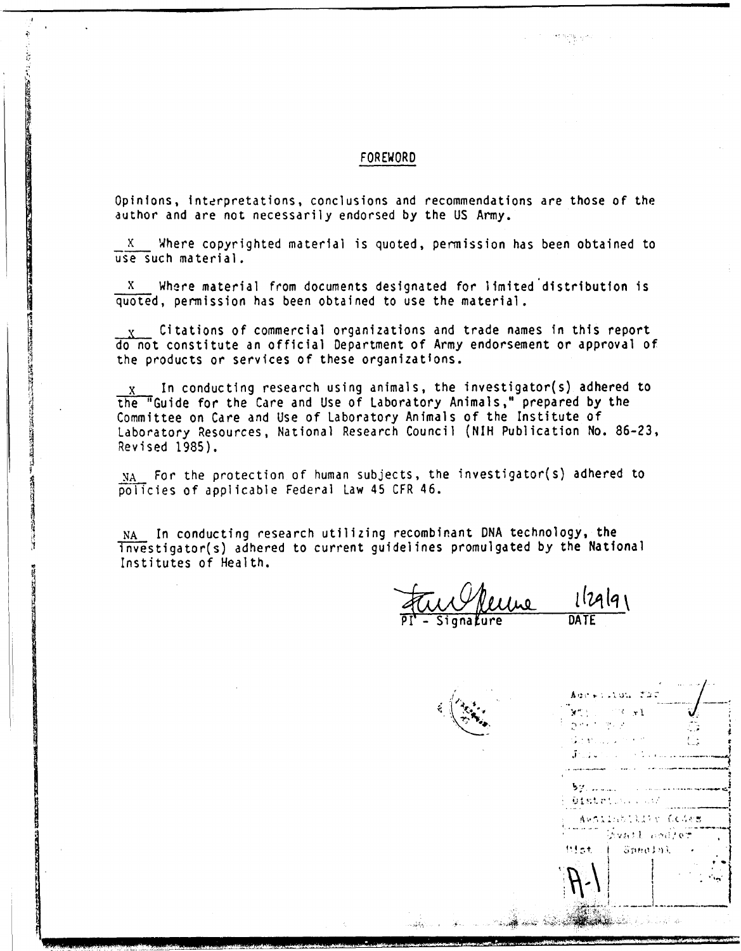# FOREWORD

Opinions, interpretations, conclusions and recommendations are those of the author and are not necessarily endorsed by the US Army.

x Where copyrighted material is quoted, permission has been obtained to use such material.

x Where material from documents designated for limited distribution is quoted, permission has been obtained to use the material.

 $x$  Citations of commercial organizations and trade names in this report do not constitute an official Department of Army endorsement or approval of the products or services of these organizations.

In conducting research using animals, the investigator(s) adhered to the "Guide for the Care and Use of Laboratory Animals," prepared by the Committee on Care and Use of Laboratory Animals of the Institute of Laboratory Resources, National Research Council (NIH Publication No. 86-23, Revised 1985).

NA For the protection of human subjects, the investigator(s) adhered to policies of applicable Federal Law 45 CFR 46.

**NA** In conducting research utilizing recombinant DNA technology, the investigator(s) adhered to current guidelines promulgated by the National Institutes of Health.

PI<sup>,</sup> - Signa*t*ure DATE

舌はビュー ふくのに プロ  $\mathbb{C}^{\times}$  .  $\mathbb{C}^{\times}$ I  $53.$  masses. I,........ **.** ... . Avnilabilize Codes Avail codier hist. A Special **Pow,**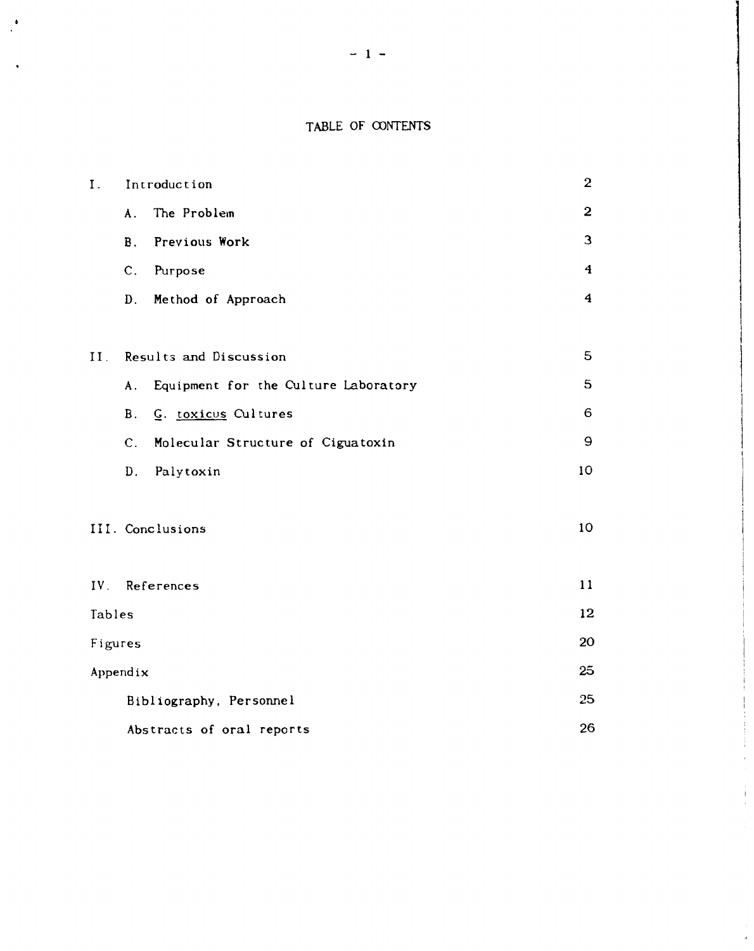# TABLE OF ONTENTS

| Ι.       |              | Introduction                         | $\mathbf{2}$            |
|----------|--------------|--------------------------------------|-------------------------|
|          | A.           | The Problem                          | $\mathbf{2}$            |
|          | <b>B.</b>    | Previous Work                        | 3                       |
|          | $C_{+}$      | Purpose                              | $\overline{\mathbf{4}}$ |
|          | D.           | Method of Approach                   | $\overline{\mathbf{4}}$ |
|          |              |                                      |                         |
| II.      |              | Results and Discussion               | 5                       |
|          | A.           | Equipment for the Culture Laboratory | 5                       |
|          | <b>B.</b>    | G. toxicus Cultures                  | 6                       |
|          | $C_{\rm{L}}$ | Molecular Structure of Ciguatoxin    | $\Theta$                |
|          | D.           | Palytoxin                            | 10                      |
|          |              |                                      |                         |
|          |              | III. Conclusions                     | 10                      |
|          |              |                                      |                         |
|          |              | IV. References                       | 11                      |
| Tables   |              |                                      | 12                      |
| Figures  |              |                                      | 20                      |
| Appendix |              |                                      | 25                      |
|          |              | Bibliography, Personnel              | 25                      |
|          |              | Abstracts of oral reports            | 26                      |

 $\bar{4}$ 

 $\bullet$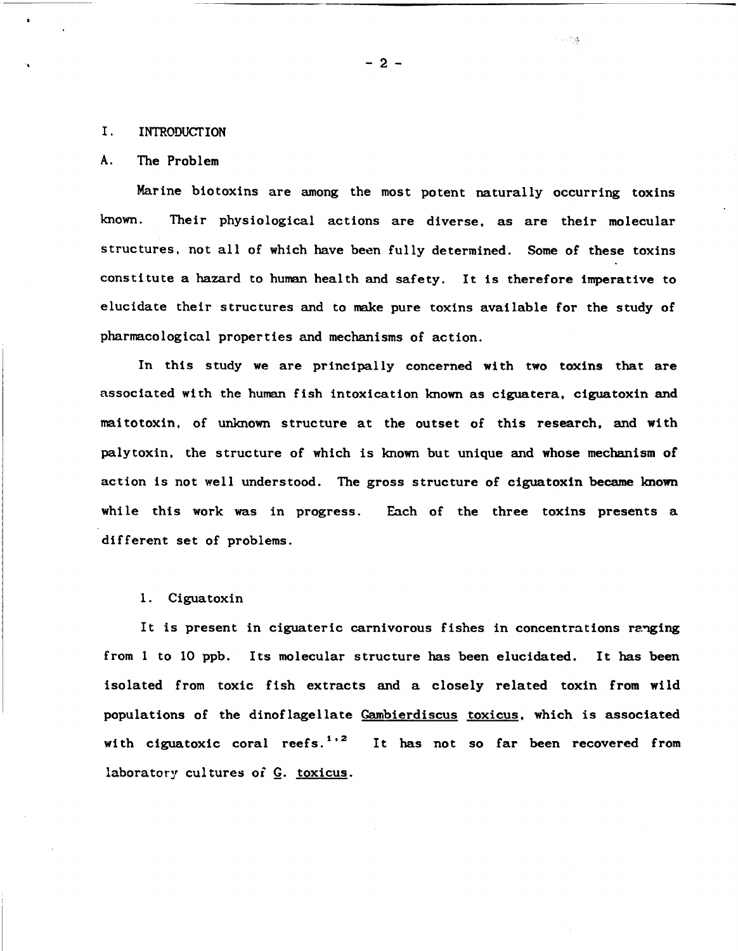# I. INTRODUCTION

## A. The Problem

Marine biotoxins are among the most potent naturally occurring toxins known. Their physiological actions are diverse, as are their molecular structures, not all of which have been fully determined. Some of these toxins constitute a hazard to human health and safety. It is therefore imperative to elucidate their structures and to make pure toxins available for the study of pharmacological properties and mechanisms of action.

In this study we are principally concerned with two toxins that are associated with the human fish intoxication known as ciguatera, ciguatoxin and maitotoxin. of unknown structure at the outset of this research, and with palytoxin, the structure of which is known but unique and whose mechanism of action is not well understood. The gross structure of ciguatoxin became known while this work was in progress. Each of the three toxins presents a different set of problems.

## **1.** Ciguatoxin

It is present in ciguateric carnivorous fishes in concentrations ranging from **I** to 10 ppb. Its molecular structure has been elucidated. It has been isolated from toxic fish extracts and a closely related toxin from wild populations of the dinoflagellate Cambierdiscus toxicus, which is associated with ciguatoxic coral reefs.<sup>1,2</sup> It has not so far been recovered from laboratory cultures of G. toxicus.

 $-2 -$ 

小兰蜜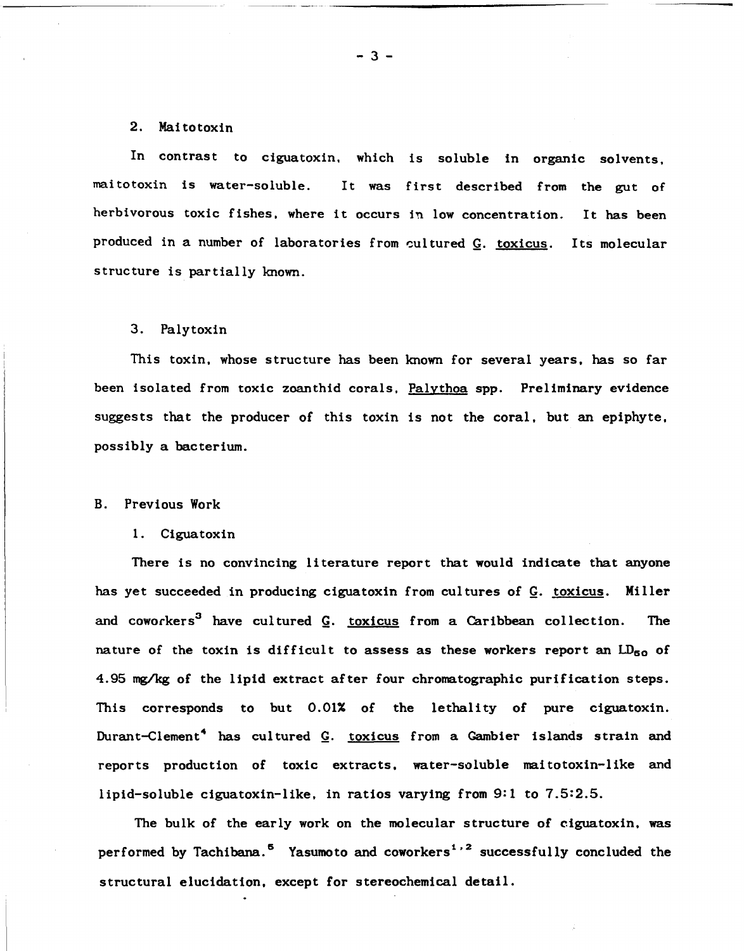# 2. Maitotoxin

In contrast to ciguatoxin, which is soluble in organic solvents, maitotoxin is water-soluble. It was first described from the gut of herbivorous toxic fishes, where it occurs in low concentration. It has been produced in a number of laboratories from cultured G. toxicus. Its molecular structure is partially known.

# 3. Palytoxin

This toxin, whose structure has been known for several years, has so far been isolated from toxic zoanthid corals, Palythoa spp. Preliminary evidence suggests that the producer of this toxin is not the coral, but an epiphyte, possibly a bacterium.

#### B. Previous Work

#### 1. Ciguatoxin

There is no convincing literature report that would indicate that anyone has yet succeeded in producing ciguatoxin from cultures of G. toxicus. Miller and coworkers<sup>3</sup> have cultured  $\underline{G}$ . toxicus from a Caribbean collection. The nature of the toxin is difficult to assess as these workers report an  $LD_{50}$  of 4.95 mg/kg of the lipid extract after four chromatographic purification steps. This corresponds to but 0.01% of the lethality of pure ciguatoxin. Durant-Clement4 has cultured **G.** toxicus from a Gambier islands strain and reports production of toxic extracts, water-soluble maitotoxin-like and lipid-soluble ciguatoxin-like, in ratios varying from **9:1** to **7.5:2.5.**

The bulk of the early work on the molecular structure of ciguatoxin, was performed by Tachibana.<sup>5</sup> Yasumoto and coworkers<sup>1,2</sup> successfully concluded the structural elucidation, except for stereochemical detail.

**-3-**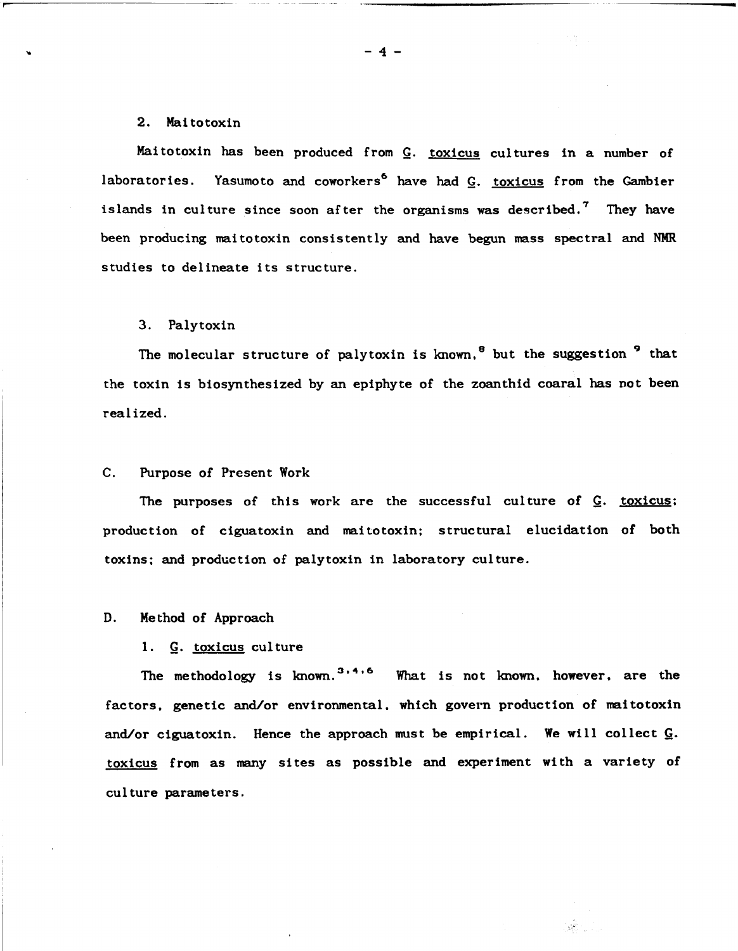## 2. Maitotoxin

Maitotoxin has been produced from **G.** toxicus cultures in a number of laboratories. Yasumoto and coworkers<sup>6</sup> have had G. toxicus from the Gambier islands in culture since soon after the organisms was described.<sup>7</sup> They have been producing maitotoxin consistently and have begun **mass** spectral and NNR studies to delineate its structure.

## **3.** Palytoxin

The molecular structure of palytoxin is known,<sup>8</sup> but the suggestion<sup>9</sup> that the toxin is biosynthesized **by** an epiphyte of the zoanthid coaral has not been realized.

## **C.** Purpose of Present Work

The purposes of this work are the successful culture of **G.** toxicus; production of ciguatoxin and maitotoxin; structural elucidation of both toxins; and production of palytoxin in laboratory culture.

**D.** Method of Approach

1. **G.** toxicus culture

The methodology is known.<sup>3,4</sup> What is not known, however, are the factors, genetic and/or environmental, which govern production of maitotoxin and/or ciguatoxin. Hence the approach must be empirical. We will collect **G.** toxicus from as many sites as possible and experiment with a variety of culture parameters.

-4-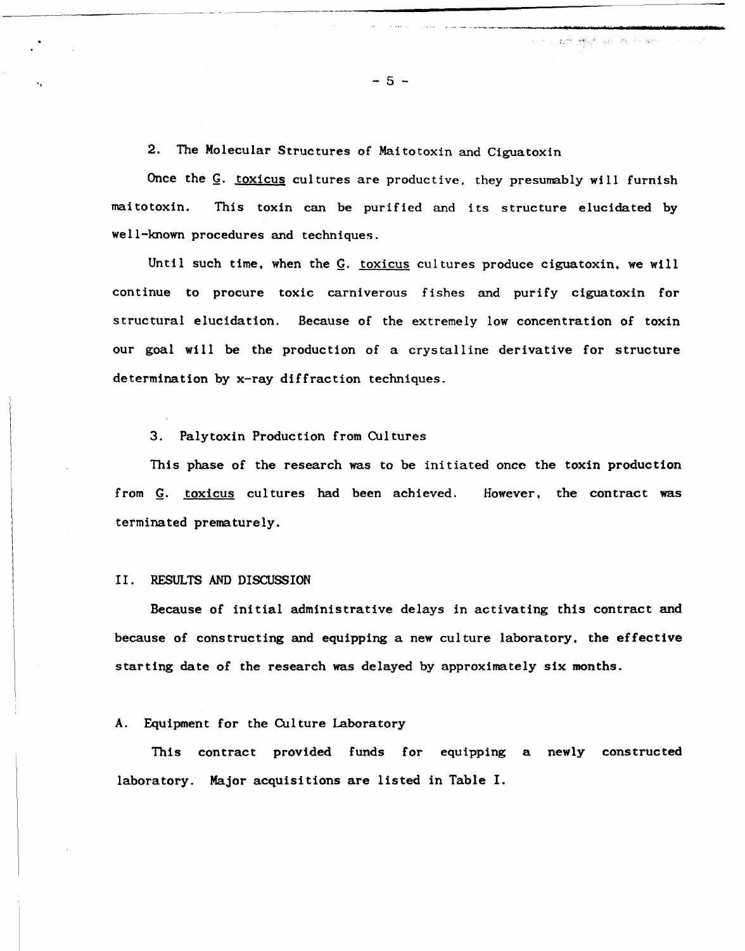2. The Molecular Structures of Maitotoxin and Ciguatoxin

Once the **G.** toxicus cultures are productive, they presumably will furnish maitotoxin. This toxin can be purified and its structure elucidated **by** well-known procedures and techniques.

Until such time, when the **G.** toxicus cultures produce ciguatoxin, we will continue to procure toxic carniverous fishes and purify ciguatoxin for structural elucidation. Because of the extremely low concentration of toxin our goal will be the production of a crystalline derivative for structure determination by x-ray diffraction techniques.

### 3. Palytoxin Production from Cultures

This phase of the research was to be initiated once the toxin production from **G.** toxicus cultures had been achieved. However, the contract was terminated prematurely.

#### II. **RESULTS** AND DISCUSSION

Because of initial administrative delays in activating this contract and because of constructing and equipping a new culture laboratory, the effective starting date of the research was delayed by approximately six months.

#### A. Equipment for the Culture Laboratory

This contract provided funds for equipping a newly constructed laboratory. Major acquisitions are listed in Table I.

 $-5-$ 

the company of the second company and

1000 1000 4000 4000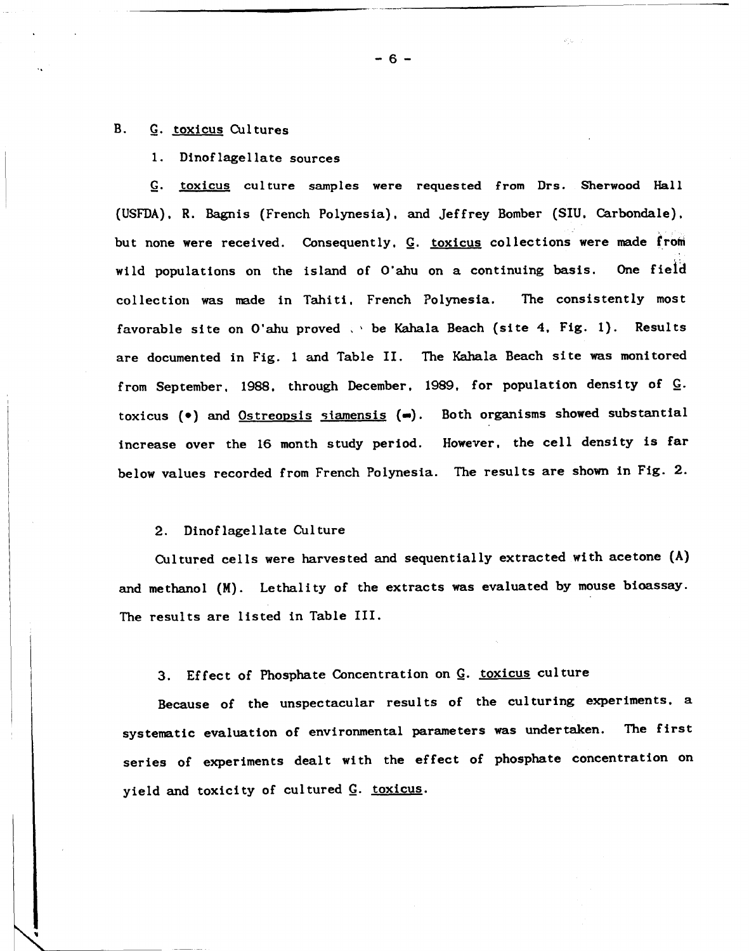# B. **G.** toxicus Cultures

**1.** Dinoflagellate sources

**G.** toxicus culture samples were requested from Drs. Sherwood Hall **(USFDA),** R. Bagnis (French Polynesia), and Jeffrey Bomber (SIU. Carbondale), but none were received. Consequently. **G.** toxicus collections were made **from** wild populations on the island of O'ahu on a continuing basis. One fteid collection was made in Tahiti, French Polynesia. The consistently most favorable site on O'ahu proved **,'** be Kahala Beach (site 4, Fig. **1).** Results are documented in Fig. **1** and Table II. The Kahala Beach site was monitored from September. **1988,** through December, **1989,** for population density of **G.** toxicus (.) and <u>Ostreopsis</u> siamensis (.). Both organisms showed substantial increase over the **16** month study period. However, the cell density is far below values recorded from French Polynesia. The results are shown in Fig. 2.

# 2. Dinoflagellate Culture

Cultured cells were harvested and sequentially extracted with acetone **(A)** and methanol (M). Lethality of the extracts was evaluated by mouse bioassay. The results are listed in Table III.

3. Effect of Phosphate Concentration on **G.** toxicus culture

Because of the unspectacular results of the culturing experiments, a systematic evaluation of environmental parameters was undertaken. The first series of experiments dealt with the effect of phosphate concentration on yield and toxicity of cultured **C.** toxicus.

**-6-**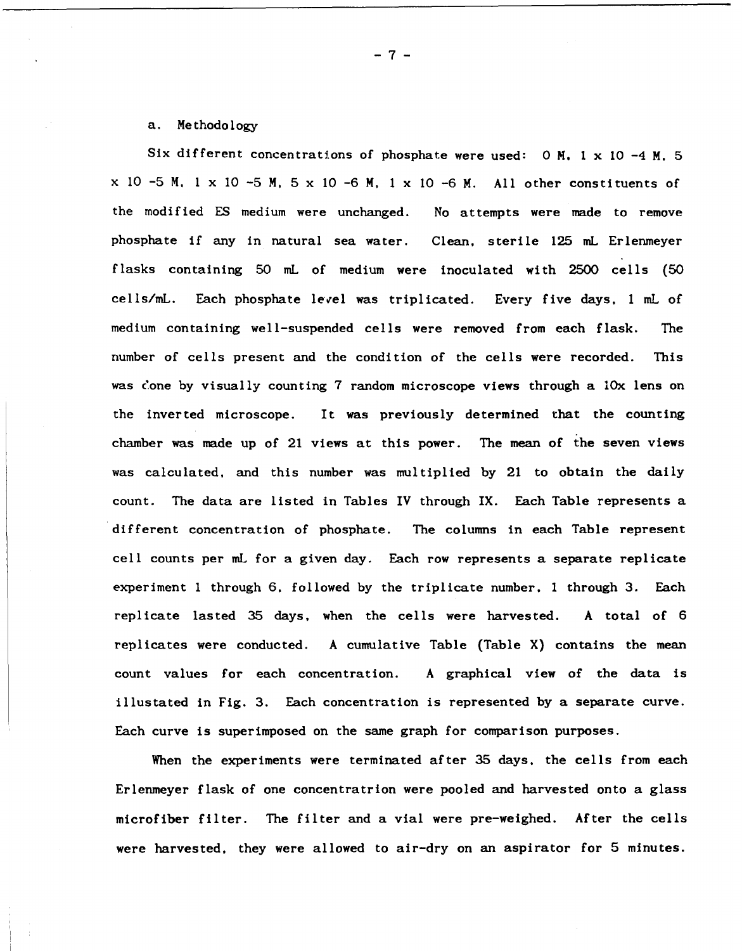# a. Methodology

Six different concentrations of phosphate were used: 0 M. 1 x **10** -4 M. 5 x 10 -5 M, 1 x 10 -5 M, 5 x 10 -6 M, 1 x 10 -6 M. All other constituents of the modified ES medium were unchanged. No attempts were made to remove phosphate if any in natural sea water. Clean, sterile **125** mL Erlenmeyer flasks containing **50** mL of medium were inoculated with **2500** cells **(50** cells/mL. Each phosphate lerel was triplicated. Every five days, 1 mL of medium containing well-suspended cells were removed from each flask. The number of cells present and the condition of the cells were recorded. This was done by visually counting 7 random microscope views through a lOx lens on the inverted microscope. It was previously determined that the counting chamber was made up of 21 views at this power. The mean of the seven views was calculated, and this number was multiplied by 21 to obtain the daily count. The data are listed in Tables IV through IX. Each Table represents a different concentration of phosphate. The columns in each Table represent cell counts per mL for a given day. Each row represents a separate replicate experiment **1** through 6, followed by the triplicate number, 1 through 3. Each replicate lasted 35 days, when the cells were harvested. A total of **6** replicates were conducted. A cumulative Table (Table X) contains the mean count values for each concentration. A graphical view of the data is illustated in Fig. 3. Each concentration is represented by a separate curve. Each curve is superimposed on the same graph for comparison purposes.

When the experiments were terminated after **35** days, the cells from each Erlenmeyer flask of one concentratrion were pooled and harvested onto a glass microfiber filter. The filter and a vial were pre-weighed. After the cells were harvested, they were allowed to air-dry on an aspirator for **5** minutes.

**-7-**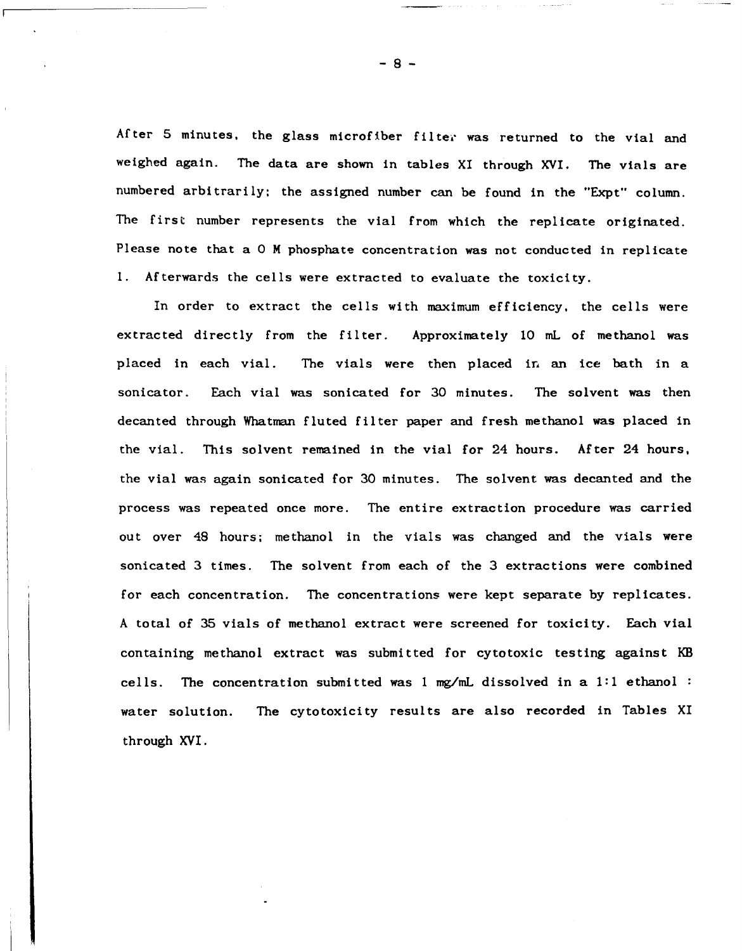After 5 minutes, the glass microfiber filter was returned to the vial and weighed again. The data are shown in tables XI through XVI. The vials are numbered arbitrarily: the assigned number can be found in the "Expt" column. The first number represents the vial from which the replicate originated. Please note that a 0 M phosphate concentration was not conducted in replicate **1.** Afterwards the cells were extracted to evaluate the toxicity.

In order to extract the cells with maximum efficiency, the cells were extracted directly from the filter. Approximately 10 mL of methanol was placed in each vial. The vials were then placed in an ice bath in a sonicator. Each vial was sonicated for 30 minutes. The solvent was then decanted through Whatman fluted filter paper and fresh methanol was placed in the vial. This solvent remained in the vial for 24 hours. After 24 hours, the vial was again sonicated for 30 minutes. The solvent was decanted and the process was repeated once more. The entire extraction procedure was carried out over 48 hours; methanol in the vials was changed and the vials were sonicated 3 times. The solvent from each of the 3 extractions were combined for each concentration. The concentrations were kept separate by replicates. A total of **35** vials of methanol extract were screened for toxicity. Each vial containing methanol extract was submitted for cytotoxic testing against KB cells. The concentration submitted was **I** mg/mL dissolved in a 1:1 ethanol **:** water solution. The cytotoxicity results are also recorded in Tables XI through XVI.

**-8-**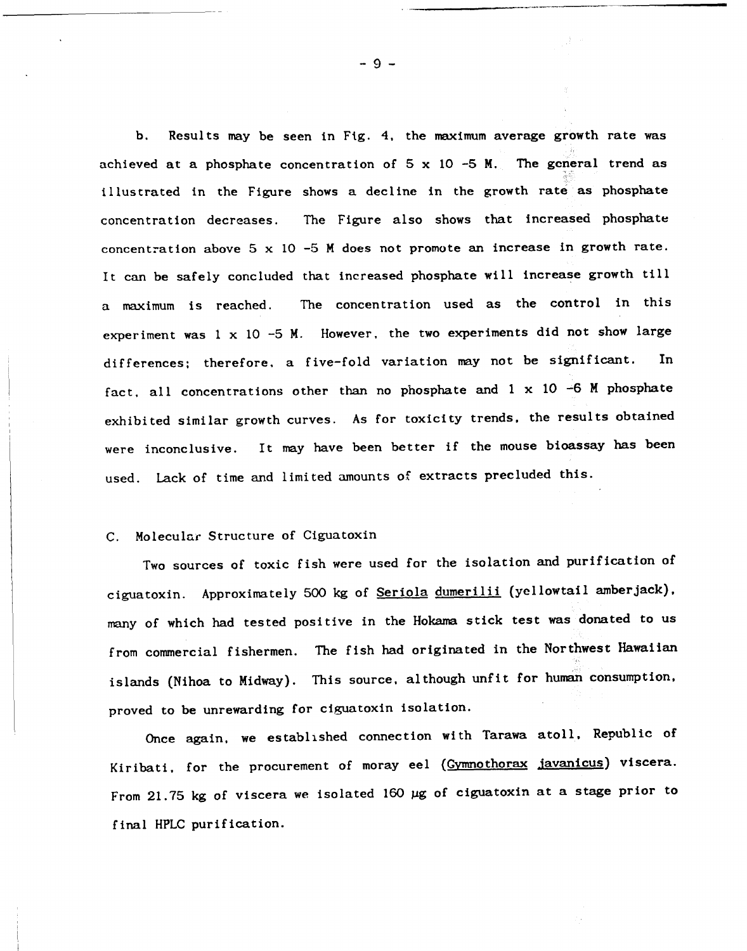**b.** Results may be seen in Fig. 4, the maximum average growth rate was achieved at a phosphate concentration of **5** x 10 **-5** M. The general trend as illustrated in the Figure shows a decline in the growth rate as phosphate concentration decreases. The Figure also shows that increased phosphate concentration above  $5 \times 10$  -5 M does not promote an increase in growth rate. It can be safely concluded that increased phosphate will increase growth till a maximum is reached. The concentration used as the control in this experiment was **1** x 10 -5 M. However, the two experiments did not show large differences: therefore, a five-fold variation may not be significant. In fact, all concentrations other than no phosphate and 1 x 10 **-6** M phosphate exhibited similar growth curves. As for toxicity trends, the results obtained were inconclusive. It may have been better if the mouse bioassay has been used. Lack of time and limited amounts of extracts precluded this.

# C. Molecular Structure of Ciguatoxin

Two sources of toxic fish were used for the isolation and purification of ciguatoxin. Approximately 500 kg of Seriola dumerilii (yellowtail amberjack), many of which had tested positive in the Hokama stick test was donated to us from commercial fishermen. The fish had originated in the Northwest Hawaiian islands (Nihoa to Midway). This source, although unfit for human consumption, proved to be unrewarding for ciguatoxin isolation.

Once again, we established connection with Tarawa atoll, Republic of Kiribati, for the procurement of moray eel (Gymnothorax javanicus) viscera. From 21.75 kg of viscera we isolated 160 µg of ciguatoxin at a stage prior to final HPLC purification.

**-9-**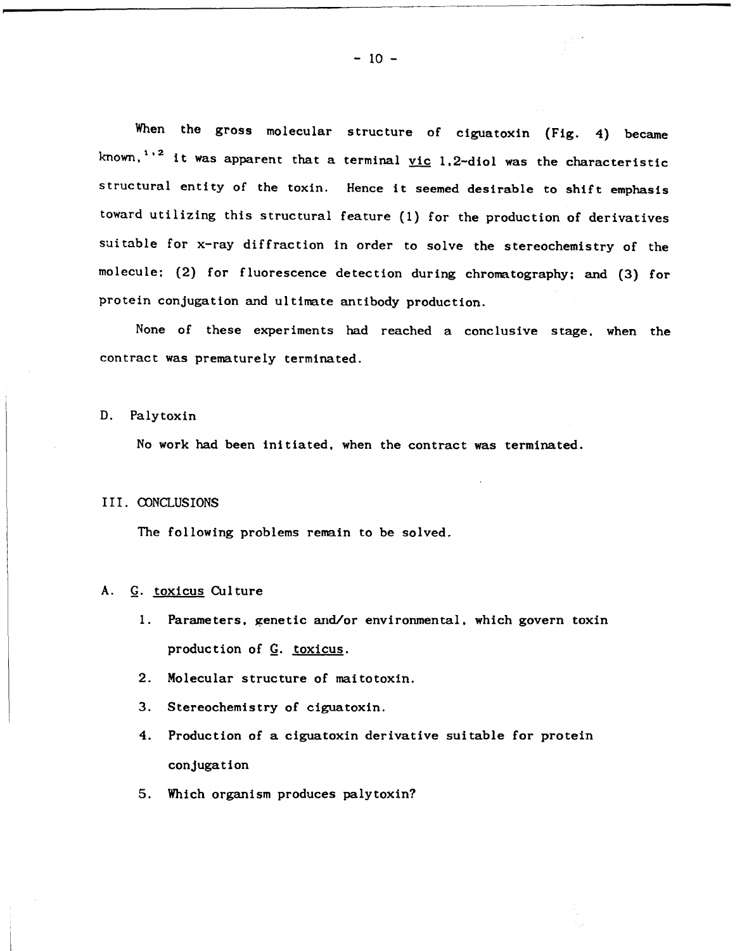When the gross molecular structure of ciguatoxin (Fig. 4) became known,<sup>1,2</sup> it was apparent that a terminal  $vic$  1,2-diol was the characteristic</u> structural entity of the toxin. Hence it seemed desirable to shift emphasis toward utilizing this structural feature **(1)** for the production of derivatives suitable for x-ray diffraction in order to solve the stereochemistry of the molecule; (2) for fluorescence detection during chromatography; and **(3)** for protein conjugation and ultimate antibody production.

None of these experiments had reached a conclusive stage, when the contract was prematurely terminated.

#### D. Palytoxin

No work had been initiated, when the contract was terminated.

# III. CONCLUSIONS

The following problems remain to be solved.

### A. G. toxicus Culture

- 1. Parameters, genetic and/or environmental, which govern toxin production of **G.** toxicus.
- 2. Molecular structure of maitotoxin.
- 3. Stereochemistry of ciguatoxin.
- 4. Production of a ciguatoxin derivative suitable for protein conjugation
- 5. Which organism produces palytoxin?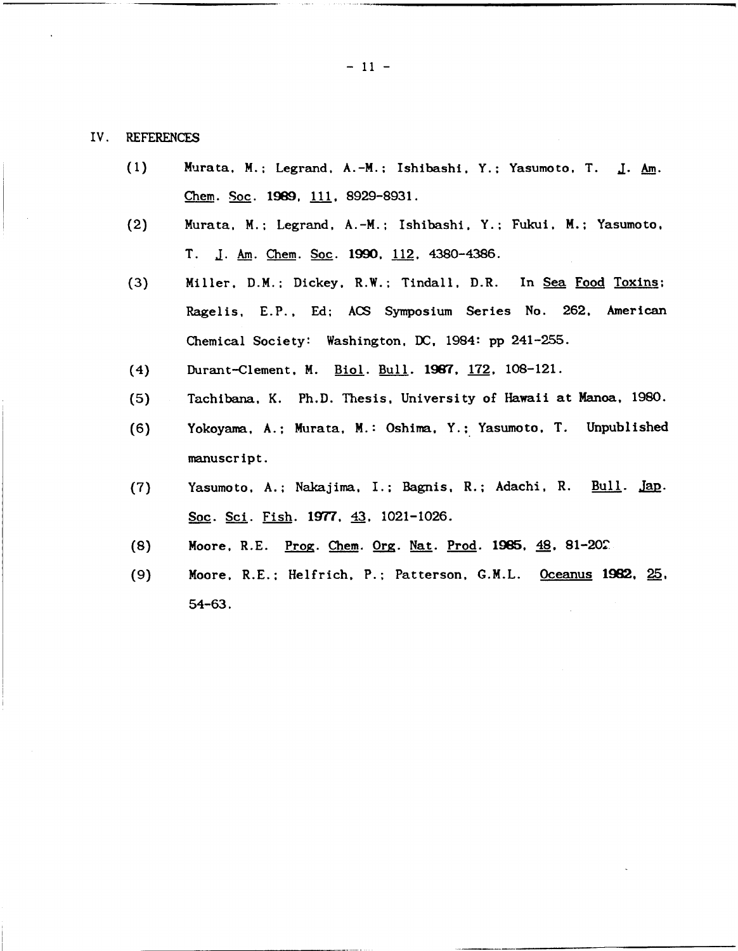### IV. REFERENCES

- (1) Murata, M. ; Legrand. A.-M.: Ishibashi, Y.; Yasumoto, T. **J.** Am. Chem. Soc. **1989,** 111, 8929-8931.
- (2) Murata, M.; Legrand, A.-M.; Ishibashi. Y.; Fukui. M.; Yasumoto, T. **1.** Am. Chem. Soc. 1990. 112. 4380-4386.
- (3) Miller. D.M.: Dickey. R.W.; Tindall, D.R. In Sea Food Toxins; Ragelis, E.P.. Ed; ACS Symposium Series No. 262. American Chemical Society: Washington, **DC,** 1984: pp 241-255.
- (4) Durant-Clement. M. Biol. Bull. **1987. 172.** 108-121.
- (5) Tachibana, K. Ph.D. Thesis, University of Hawaii at Manoa, 1980.
- (6) Yokoyama, A.; Murata, M.: Oshima, Y.: Yasumoto, T. Unpublished manuscript.
- (7) Yasumoto, A.; Nakajima, I.; Bagnis, R.; Adachi, R. Bull. Jap. Soc. Sci. Fish. 1977. 43. 1021-1026.
- (8) Moore, R.E. Prog. Chem. Org. Nat. Prod. 1985, 48, 81-202.
- **(9)** Moore. R.E.: Helfrich. P.; Patterson. G.M.L. Oceanus 1982, **25,** 54-63.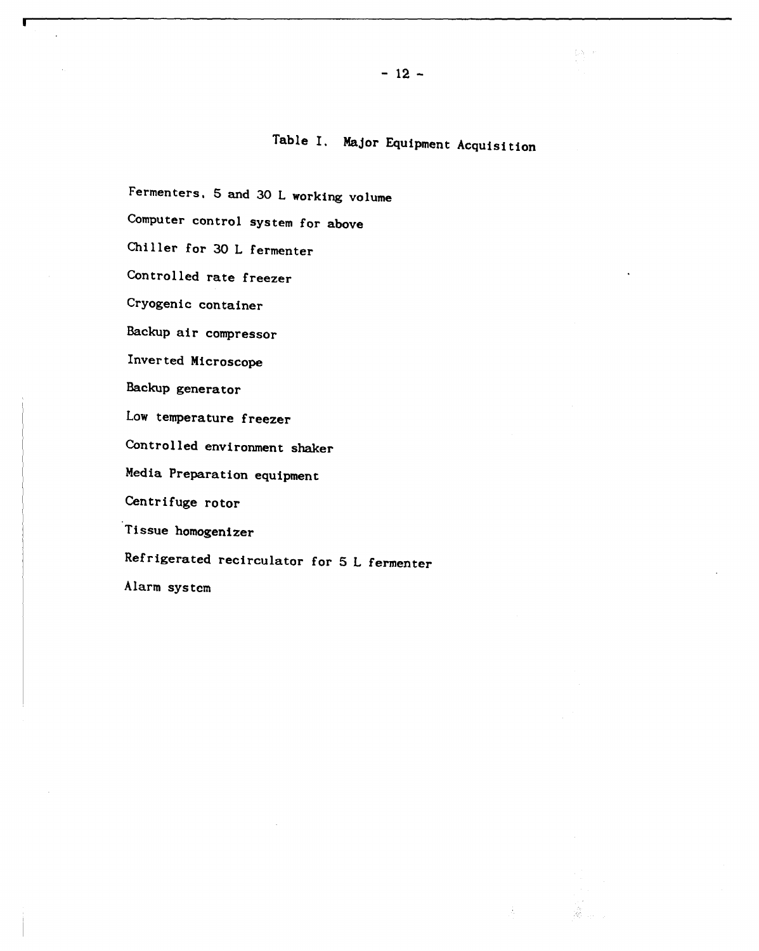# Table I. Major Equipment Acquisition

验

Ă.

Fermenters. **5** and **30** L working volume

Computer control system for above

Chiller for 30 L fermenter

Controlled rate freezer

Cryogenic container

Backup air compressor

Inverted Microscope

Backup generator

Low temperature freezer

Controlled environment shaker

Media Preparation equipment

Centrifuge rotor

Tissue homogenizer

Refrigerated recirculator for **5** L fermenter

Alarm systcm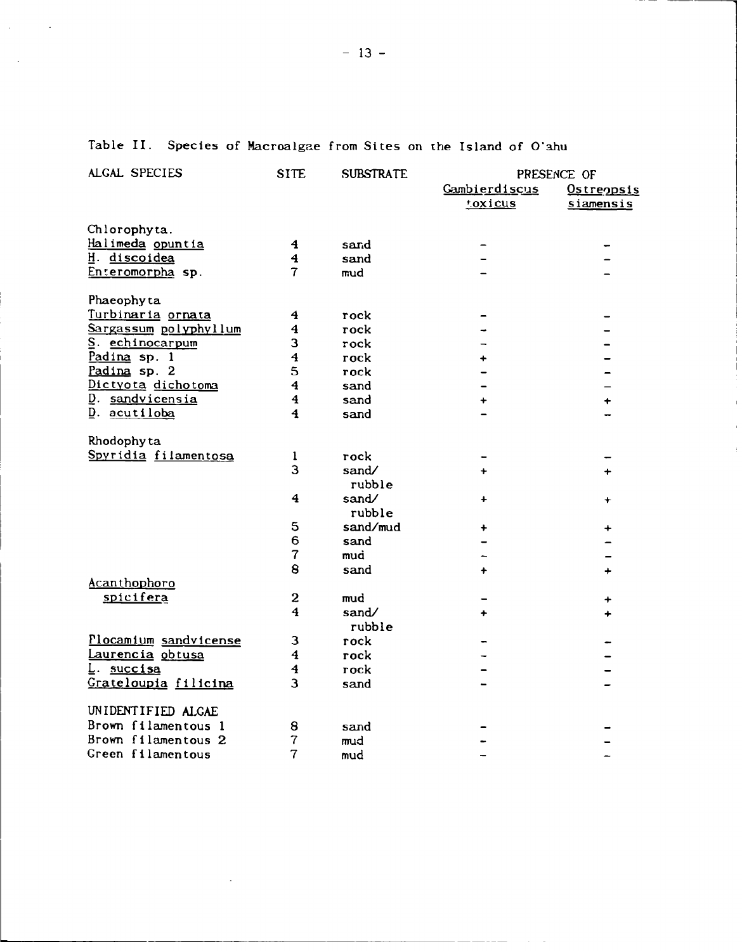| ALGAL SPECIES         | <b>SITE</b>             | <b>SUBSTRATE</b> |                      | PRESENCE OF |
|-----------------------|-------------------------|------------------|----------------------|-------------|
|                       |                         |                  | <b>Cambierdiscus</b> | Ostreopsis  |
|                       |                         |                  | toxicus              | siamensis   |
|                       |                         |                  |                      |             |
| Chlorophyta.          |                         |                  |                      |             |
| Halimeda opuntia      | $\overline{\mathbf{4}}$ | sand             |                      |             |
| H. discoidea          | $\overline{\mathbf{4}}$ | sand             |                      |             |
| Enteromorpha sp.      | $\overline{7}$          | mud              |                      |             |
| Phaeophy ta           |                         |                  |                      |             |
| Turbinaria ornata     | $\overline{\bf 4}$      | rock             |                      |             |
| Sargassum polyphyllum | $\overline{\mathbf{4}}$ | rock             |                      |             |
| S. echinocarpum       | 3                       | rock             |                      |             |
| Padina sp. 1          | $\overline{\mathbf{4}}$ | rock             | $\ddot{}$            |             |
| Padina sp. 2          | 5                       | rock             |                      |             |
| Dictyota dichotoma    | $\overline{\mathbf{4}}$ | sand             |                      |             |
| D. sandvicensia       | $\overline{\mathbf{4}}$ | sand             | $\ddot{}$            | $\ddot{}$   |
| D. acutiloba          | $\overline{\mathbf{4}}$ | sand             |                      |             |
| Rhodophy ta           |                         |                  |                      |             |
| Spyridia filamentosa  | $\mathbf{1}$            |                  |                      |             |
|                       | 3                       | rock             |                      |             |
|                       |                         | sand/            | $\ddot{}$            |             |
|                       | $\overline{\mathbf{4}}$ | rubble<br>sand/  |                      |             |
|                       |                         | rubble           | +                    |             |
|                       | 5                       | sand/mud         |                      |             |
|                       | 6                       | sand             | ÷                    |             |
|                       | $\overline{7}$          | mud              |                      |             |
|                       | 8                       | sand             | $\ddot{+}$           | $\ddotmark$ |
| Acanthophoro          |                         |                  |                      |             |
| spicifera             | $\mathbf{2}$            | mud              |                      |             |
|                       | 4                       | sand/            |                      | +           |
|                       |                         | rubble           | $\ddot{}$            | +           |
| Plocamium sandvicense | 3                       | rock             |                      |             |
| Laurencia obtusa      | $\overline{\mathbf{4}}$ | rock             |                      |             |
| L. succisa            | $\boldsymbol{4}$        | rock             |                      |             |
| Grateloupia filicina  | 3                       |                  |                      |             |
|                       |                         | sand             |                      |             |
| UNIDENTIFIED ALGAE    |                         |                  |                      |             |
| Brown filamentous 1   | 8                       | sand             |                      |             |
| Brown filamentous 2   | $\overline{7}$          | mud              |                      |             |
| Green filamentous     | $\overline{7}$          | mud              |                      |             |

 $-$ 

 $\sim 10^{11}$  km s  $^{-1}$ 

# Table II. Species of Macroalgae from Sites on the Island of O'ahu

 $\Delta \sim$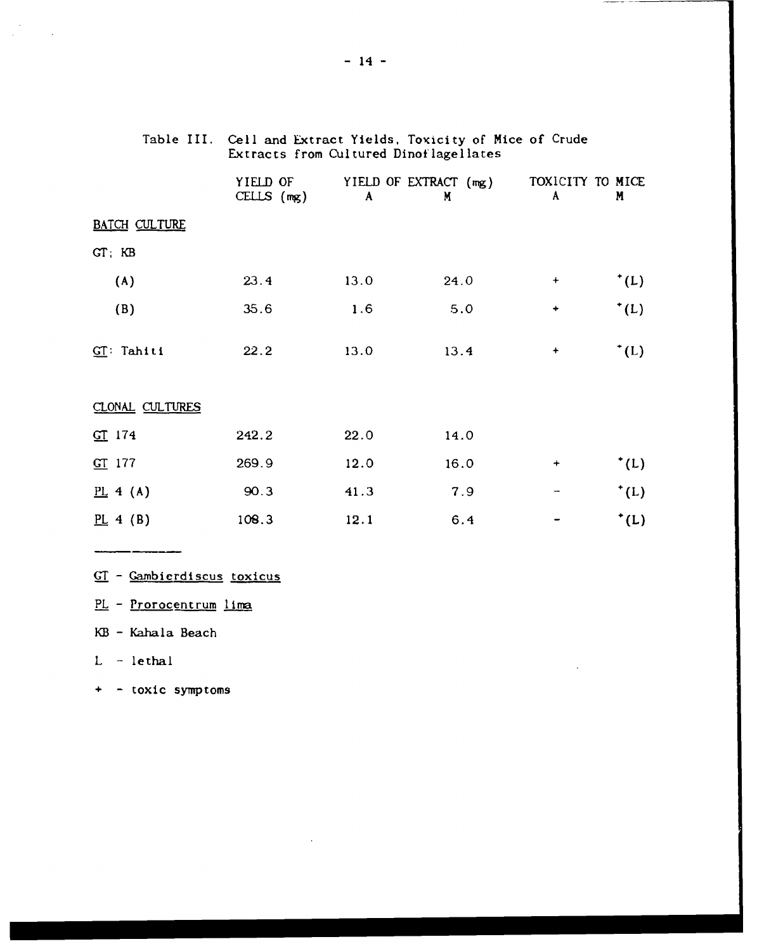| Extracts from Cultured Dinoflagellates |                          |              |                            |                       |                  |  |  |  |
|----------------------------------------|--------------------------|--------------|----------------------------|-----------------------|------------------|--|--|--|
|                                        | YIELD OF<br>CELLS $(mg)$ | $\mathbf{A}$ | YIELD OF EXTRACT (mg)<br>M | TOXICITY TO MICE<br>A | M                |  |  |  |
| <b>BATCH CULTURE</b>                   |                          |              |                            |                       |                  |  |  |  |
| $GT$ ; $KB$                            |                          |              |                            |                       |                  |  |  |  |
| (A)                                    | 23.4                     | 13.0         | 24.0                       | $\ddot{}$             | $^{\star}$ (L)   |  |  |  |
| (B)                                    | 35.6                     | 1.6          | 5.0                        | $\ddot{}$             | $^{\star}(L)$    |  |  |  |
| $GT:$ Tahiti                           | 22.2                     | 13.0         | 13.4                       | $\ddotmark$           | $^{\dagger}$ (L) |  |  |  |
| CLONAL CULTURES                        |                          |              |                            |                       |                  |  |  |  |
| $CT$ 174                               | 242.2                    | 22.0         | 14.0                       |                       |                  |  |  |  |
| $GT$ 177                               | 269.9                    | 12.0         | 16.0                       | $\ddot{}$             | (L)              |  |  |  |
| PL 4 (A)                               | 90.3                     | 41.3         | 7.9                        |                       | $^{\ast}$ (L)    |  |  |  |
| PL 4 (B)                               | 108.3                    | 12.1         | 6.4                        |                       | $^{\star}$ (L)   |  |  |  |
|                                        |                          |              |                            |                       |                  |  |  |  |

Table III. Cell and Extract Yields, Toxicity of Mice of Crude

**GT** - Cambierdiscus toxicus

PL - Prorocentrum lima

KB - Kahala Beach

 $L - len$ 

÷.

**+ -** toxic symptoms

-----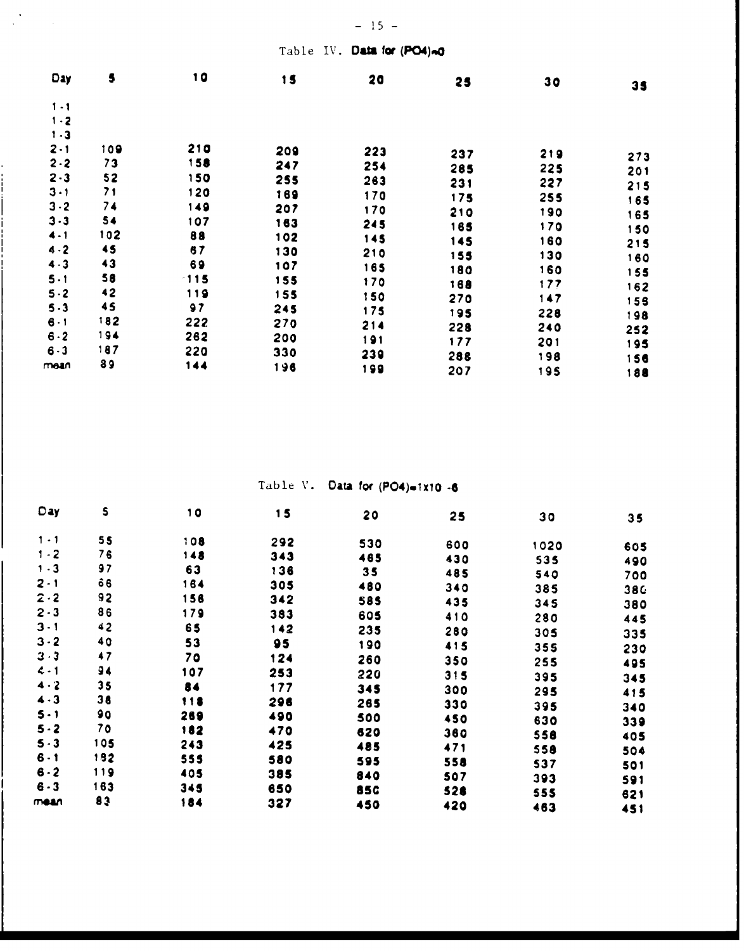# Table IV. Data for (PO4)-0

 $\frac{1}{2} \sum_{i=1}^n \frac{1}{2} \sum_{j=1}^n \frac{1}{2} \sum_{j=1}^n \frac{1}{2} \sum_{j=1}^n \frac{1}{2} \sum_{j=1}^n \frac{1}{2} \sum_{j=1}^n \frac{1}{2} \sum_{j=1}^n \frac{1}{2} \sum_{j=1}^n \frac{1}{2} \sum_{j=1}^n \frac{1}{2} \sum_{j=1}^n \frac{1}{2} \sum_{j=1}^n \frac{1}{2} \sum_{j=1}^n \frac{1}{2} \sum_{j=1}^n \frac{1}{2} \sum_{j=$ 

| Day     | 5   | 10     | 15  | 20  | 25  | 30  | 35  |
|---------|-----|--------|-----|-----|-----|-----|-----|
| $1 - 1$ |     |        |     |     |     |     |     |
| $1 - 2$ |     |        |     |     |     |     |     |
| $1 - 3$ |     |        |     |     |     |     |     |
| $2 - 1$ | 109 | 210    | 209 | 223 | 237 | 219 |     |
| $2 - 2$ | 73  | 158    | 247 | 254 |     |     | 273 |
| $2 - 3$ | 52  | 150    | 255 |     | 285 | 225 | 201 |
| $3 - 1$ | 71  |        |     | 263 | 231 | 227 | 215 |
|         |     | 120    | 169 | 170 | 175 | 255 | 165 |
| $3 - 2$ | 74  | 149    | 207 | 170 | 210 | 190 | 165 |
| $3 - 3$ | 54  | 107    | 163 | 245 | 165 | 170 |     |
| $4 - 1$ | 102 | 88     | 102 | 145 |     |     | 150 |
| 4.2     | 45  | 67     | 130 |     | 145 | 160 | 215 |
|         | 43  |        |     | 210 | 155 | 130 | 160 |
| $4 - 3$ |     | 69     | 107 | 165 | 180 | 160 | 155 |
| $5 - 1$ | 58  | $-115$ | 155 | 170 | 168 | 177 | 162 |
| $5 - 2$ | 42  | 119    | 155 | 150 | 270 | 147 |     |
| $5 - 3$ | 45  | 97     | 245 | 175 |     |     | 155 |
| $6 - 1$ | 182 | 222    | 270 |     | 195 | 228 | 198 |
|         | 194 |        |     | 214 | 228 | 240 | 252 |
| $6 - 2$ |     | 262    | 200 | 191 | 177 | 201 | 195 |
| $6 - 3$ | 187 | 220    | 330 | 239 | 288 | 198 | 156 |
| mean    | 89  | 144    | 196 | 199 | 207 | 195 |     |
|         |     |        |     |     |     |     | 188 |

Table V. Data for  $(PO4)=1x10-6$ 

| Day         | 5   | 10  | 15  | 20  | 25  | 30   | 35  |
|-------------|-----|-----|-----|-----|-----|------|-----|
| $1 - 1$     | 55  | 108 | 292 | 530 | 600 | 1020 | 605 |
| $1 - 2$     | 76  | 148 | 343 | 465 | 430 | 535  | 490 |
| $1 - 3$     | 97  | 63  | 136 | 35  | 485 | 540  | 700 |
| $2 - 1$     | 66  | 164 | 305 | 480 | 340 | 385  | 38C |
| $2 \cdot 2$ | 92  | 156 | 342 | 585 | 435 | 345  | 380 |
| $2 - 3$     | 86  | 179 | 383 | 605 | 410 | 280  | 445 |
| $3 - 1$     | 42  | 65  | 142 | 235 | 280 | 305  | 335 |
| $3 - 2$     | 40  | 53  | 95  | 190 | 415 | 355  |     |
| $3 - 3$     | 47  | 70  | 124 | 260 | 350 | 255  | 230 |
| $4 - 1$     | 94  | 107 | 253 | 220 | 315 | 395  | 495 |
| $4 - 2$     | 35  | 84  | 177 | 345 | 300 |      | 345 |
| $4 - 3$     | 38  | 118 | 296 | 265 | 330 | 295  | 415 |
| $5 - 1$     | 90  | 269 | 490 | 500 | 450 | 395  | 340 |
| $5 - 2$     | 70  | 182 | 470 | 620 | 360 | 630  | 339 |
| $5-3$       | 105 | 243 | 425 | 485 | 471 | 558  | 405 |
| $6 - 1$     | 152 | 555 | 580 | 595 |     | 558  | 504 |
| $6 - 2$     | 119 | 405 | 385 |     | 558 | 537  | 501 |
| $6 - 3$     | 163 | 345 | 650 | 840 | 507 | 393  | 591 |
| mean        | 83  | 184 |     | 85C | 528 | 555  | 621 |
|             |     |     | 327 | 450 | 420 | 463  | 451 |

# $-15 -$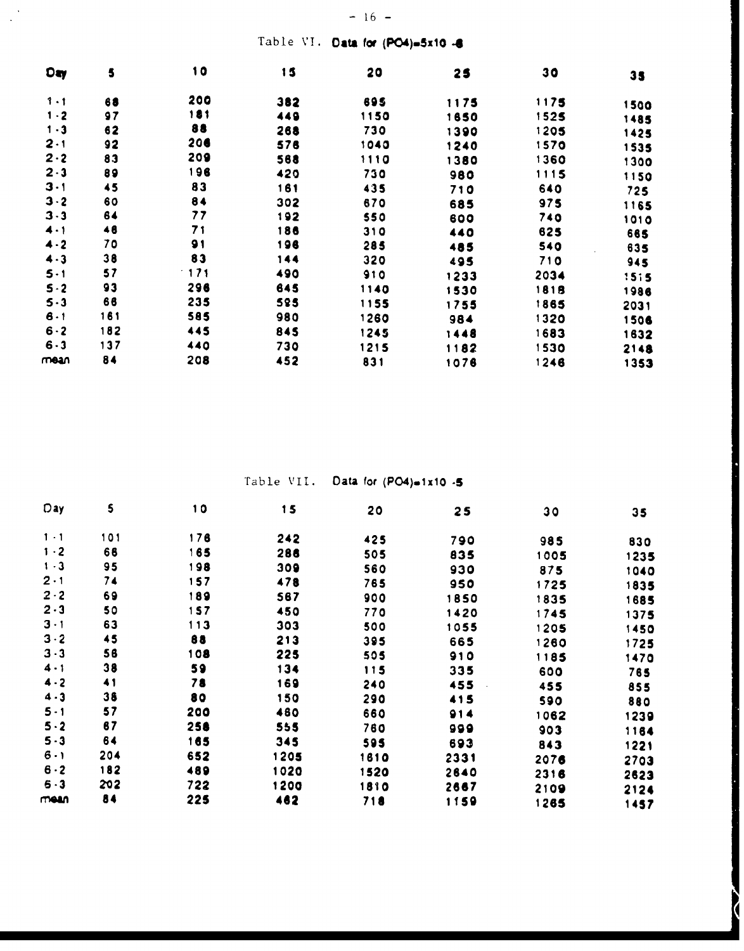#### $-16$  -

# Table VI. **Data** for (Po4)-5x1O **S**

 $\frac{1}{2}$  ,  $\frac{1}{2}$ 

| Day     | 5   | 10     | 15  | 20   | 25   | 30   | 35   |
|---------|-----|--------|-----|------|------|------|------|
| $1 - 1$ | 68  | 200    | 382 | 69S  | 1175 | 1175 | 1500 |
| $1 - 2$ | 97  | 181    | 449 | 1150 | 1650 | 1525 | 1485 |
| $1 - 3$ | 62  | 88     | 268 | 730  | 1390 | 1205 | 1425 |
| 2.1     | 92  | 206    | 576 | 1040 | 1240 | 1570 | 1535 |
| 2.2     | 83  | 209    | 568 | 1110 | 1380 | 1360 | 1300 |
| $2 - 3$ | 89  | 196    | 420 | 730  | 980  | 1115 | 1150 |
| $3 - 1$ | 45  | 83     | 161 | 435  | 710  | 640  | 725  |
| 3.2     | 60  | 84     | 302 | 670  | 685  | 975  | 1165 |
| $3 - 3$ | 64  | 77     | 192 | 550  | 600  | 740  | 1010 |
| $4 - 1$ | 48  | 71     | 186 | 310  | 440  | 625  | 665  |
| $4 - 2$ | 70  | 91     | 196 | 285  | 485  | 540  | 635  |
| $4 - 3$ | 38  | 83     | 144 | 320  | 495  | 710  | 945  |
| $5 - 1$ | 57  | $-171$ | 490 | 910  | 1233 | 2034 | 1515 |
| $5 - 2$ | 93  | 296    | 645 | 1140 | 1530 | 1818 | 1986 |
| $5 - 3$ | 66  | 235    | 585 | 1155 | 1755 | 1865 | 2031 |
| $6 - 1$ | 161 | 585    | 980 | 1260 | 984  | 1320 | 1506 |
| $6 - 2$ | 182 | 445    | 845 | 1245 | 1448 | 1683 | 1632 |
| $6 - 3$ | 137 | 440    | 730 | 1215 | 1182 | 1530 | 2148 |
| നലേ     | 84  | 208    | 452 | 831  | 1076 | 1246 | 1353 |

Table VII. Data for  $(PO4)=1 \times 10^{-5}$ 

| Day         | 5   | 10  | 15   | 20   | 25   | 30   | 35           |
|-------------|-----|-----|------|------|------|------|--------------|
| $1 - 1$     | 101 | 176 | 242  | 425  | 790  | 985  | 830          |
| $1 - 2$     | 66  | 165 | 286  | 505  | 835  | 1005 | 1235         |
| $1 - 3$     | 95  | 198 | 309  | 560  | 930  | 875  | 1040         |
| $2 \cdot 1$ | 74  | 157 | 478  | 765  | 950  | 1725 | 1835         |
| $2 \cdot 2$ | 69  | 189 | 567  | 900  | 1850 | 1835 | 1685         |
| 2.3         | 50  | 157 | 450  | 770  | 1420 | 1745 | 1375         |
| $3 \cdot 1$ | 63  | 113 | 303  | 500  | 1055 | 1205 | 1450         |
| $3-2$       | 45  | 88  | 213  | 395  | 665  | 1260 | 1725         |
| $3-3$       | 56  | 108 | 225  | 505  | 910  | 1185 | 1470         |
| $4 - 1$     | 38  | 59  | 134  | 115  | 335  | 600  | 765          |
| $4 - 2$     | 41  | 78  | 169  | 240  | 455  | 455  | 855          |
| $4 - 3$     | 38  | 80  | 150  | 290  | 415  | 590  | 880          |
| $5 - 1$     | 57  | 200 | 460  | 660  | 914  | 1062 | 1239         |
| $5 - 2$     | 67  | 256 | 555  | 760  | 999  | 903  | 1164         |
| $5 - 3$     | 64  | 165 | 345  | 595  | 693  | 843  | 1221         |
| 6.1         | 204 | 652 | 1205 | 1610 | 2331 | 2076 | 2703         |
| $6 - 2$     | 182 | 489 | 1020 | 1520 | 2640 | 2316 | 2623         |
| $6 - 3$     | 202 | 722 | 1200 | 1810 | 2667 | 2109 |              |
| mean        | 84  | 225 | 462  | 718  | 1159 | 1265 | 2124<br>1457 |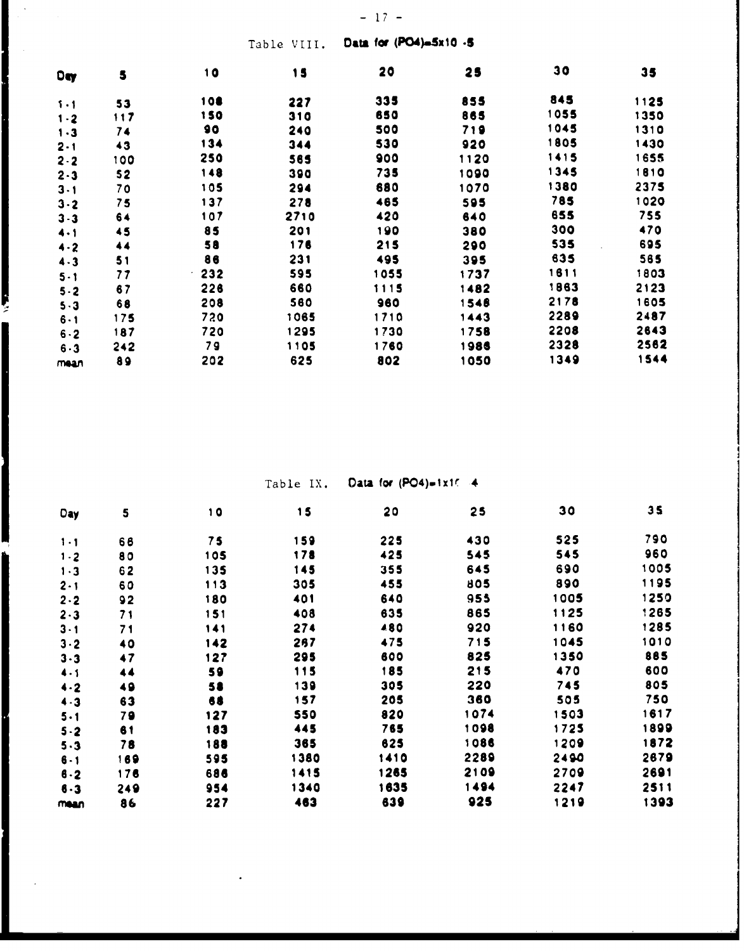# Table VIII. **Data for (PO4)=5x10 .5**

| Day     | 5   | 10  | 15   | 20   | 25   | 30   | 35   |
|---------|-----|-----|------|------|------|------|------|
| 1.1     | 53  | 108 | 227  | 335  | 855  | 845  | 1125 |
| $1 - 2$ | 117 | 150 | 310  | 650  | 865  | 1055 | 1350 |
| $1 - 3$ | 74  | 90  | 240  | 500  | 719  | 1045 | 1310 |
| $2 - 1$ | 43  | 134 | 344  | 530  | 920  | 1805 | 1430 |
| $2-2$   | 100 | 250 | 565  | 900  | 1120 | 1415 | 1655 |
| 2.3     | 52  | 148 | 390  | 735  | 1090 | 1345 | 1810 |
| 3.1     | 70  | 105 | 294  | 680  | 1070 | 1380 | 2375 |
| $3-2$   | 75  | 137 | 278  | 465  | 595  | 785  | 1020 |
| $3 - 3$ | 64  | 107 | 2710 | 420  | 640  | 655  | 755  |
| 4.1     | 45  | 85  | 201  | 190  | 380  | 300  | 470  |
| $4 - 2$ | 44  | 58  | 176  | 215  | 290  | 535  | 695  |
| $4 - 3$ | 51  | 86  | 231  | 495  | 395  | 635  | 565  |
| $5 - 1$ | 77  | 232 | 595  | 1055 | 1737 | 1611 | 1803 |
| $5 - 2$ | 67  | 226 | 660  | 1115 | 1482 | 1863 | 2123 |
| $5 - 3$ | 68  | 208 | 560  | 960  | 1548 | 2178 | 1605 |
| $6 - 1$ | 175 | 720 | 1065 | 1710 | 1443 | 2289 | 2487 |
| $6 - 2$ | 187 | 720 | 1295 | 1730 | 1758 | 2208 | 2643 |
| $6 - 3$ | 242 | 79  | 1105 | 1760 | 1986 | 2328 | 2562 |
| mean    | 89  | 202 | 625  | 802  | 1050 | 1349 | 1544 |

ļ

l

Table IX. Data for  $(PO4)=1 \times 10^{-4}$ 

| Day     | 5   | 10  | 15   | 20   | 25   | 30   | 35   |
|---------|-----|-----|------|------|------|------|------|
| $1 - 1$ | 66  | 75  | 159  | 225  | 430  | 525  | 790  |
| $1 - 2$ | 80  | 105 | 178  | 425  | 545  | 545  | 960  |
| $1 - 3$ | 62  | 135 | 145  | 355  | 645  | 690  | 1005 |
| $2 - 1$ | 60  | 113 | 305  | 455  | 805  | 890  | 1195 |
| $2 - 2$ | 92  | 180 | 401  | 640  | 955  | 1005 | 1250 |
| $2 - 3$ | 71  | 151 | 408  | 635  | 865  | 1125 | 1265 |
| $3 - 1$ | 71  | 141 | 274  | 480  | 920  | 1160 | 1285 |
| $3-2$   | 40  | 142 | 267  | 475  | 715  | 1045 | 1010 |
| $3 - 3$ | 47  | 127 | 295  | 600  | 825  | 1350 | 885  |
| $4 - 1$ | 44  | 59  | 115  | 185  | 215  | 470  | 600  |
| $4 - 2$ | 49  | 58  | 139  | 305  | 220  | 745  | 805  |
| $4 - 3$ | 63  | 68  | 157  | 205  | 360  | 505  | 750  |
| 5.1     | 79  | 127 | 550  | 820  | 1074 | 1503 | 1617 |
| $5 - 2$ | 61  | 183 | 445  | 765  | 1098 | 1725 | 1899 |
| $5 - 3$ | 78  | 188 | 365  | 625  | 1086 | 1209 | 1872 |
| $6 - 1$ | 169 | 595 | 1380 | 1410 | 2289 | 2490 | 2679 |
| $6 - 2$ | 176 | 686 | 1415 | 1265 | 2109 | 2709 | 2691 |
| $6 - 3$ | 249 | 954 | 1340 | 1635 | 1494 | 2247 | 2511 |
| mean    | 86  | 227 | 463  | 639  | 925  | 1219 | 1393 |

# - **17** -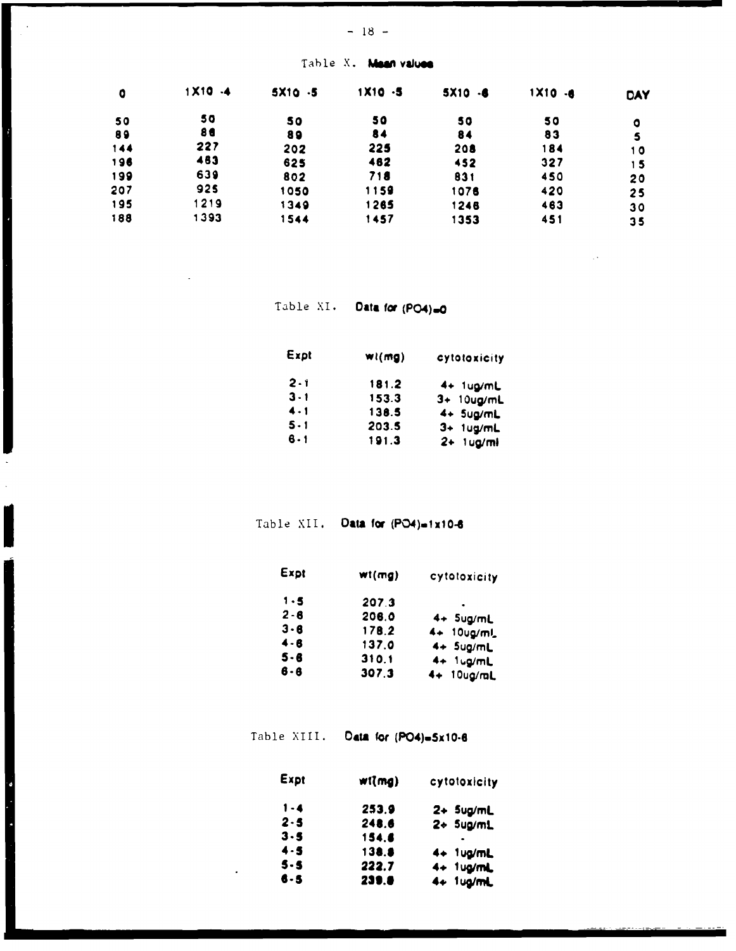# Table X. Mean values

| $\mathbf o$ | $1X10 - 4$ | 5X10 -5 | 1X10.5 | $5X10 - 6$ | $1X10 - 6$ | DAY |
|-------------|------------|---------|--------|------------|------------|-----|
| 50          | 50         | 50      | 50     | 50         | 50         | O   |
| 89          | 86         | 89      | 84     | 84         | 83         | 5   |
| 144         | 227        | 202     | 225    | 208        | 184        | 10  |
| 196         | 483        | 625     | 462    | 452        | 327        | 15  |
| 199         | 639        | 802     | 718    | 831        | 450        | 20  |
| 207         | 925        | 1050    | 1159   | 1076       | 420        | 25  |
| 195         | 1219       | 1349    | 1265   | 1246       | 463        | 30  |
| 188         | 1393       | 1544    | 1457   | 1353       | 451        | 35  |

# Table XI. Data for (PO4)=0

| Expt    | W(mg) | cytotoxicity  |
|---------|-------|---------------|
| 2 - i   | 181.2 | $4+1$ ug/mL   |
| $3 - 1$ | 153.3 | 3+ 10ug/mL    |
| $4 - 1$ | 138.5 | $4 + 5$ ug/mL |
| $5 - 1$ | 203.5 | $3 + 1$ ug/mL |
| 6 - 1   | 191.3 | $2 + 1$ ug/ml |

# Table XII. Data for (PO4)=1x10-6

| Expt    | wt(mg) | cytotoxicity  |
|---------|--------|---------------|
| 1.5     | 207.3  |               |
| $2 - 6$ | 206.0  | $4 + 5$ ug/mL |
| $3 - 6$ | 178.2  | 4+ 10ug/ml    |
| 4 - 8   | 137.0  | 4+ Sug/mL     |
| $5 - 6$ | 310.1  | 4+ 1ug/mL     |
| $6 - 6$ | 307.3  | 4+ 10ug/mL    |

# Table XIII. Cata for (PO4)=5x10-8

| Expt    | wi(mg) | cytotoxicity  |  |
|---------|--------|---------------|--|
| $1 - 4$ | 253.9  | 2+ Sug/mL     |  |
| $2 - 5$ | 248.6  | $2+$ Sug/mL   |  |
| 3.S     | 154.6  |               |  |
| $4 - 5$ | 138.8  | $4 + 1$ ug/mL |  |
| $5 - 5$ | 222.7  | $4 + 1$ ug/mL |  |
| $6 - 5$ | 239.8  | 4+ lug/mL     |  |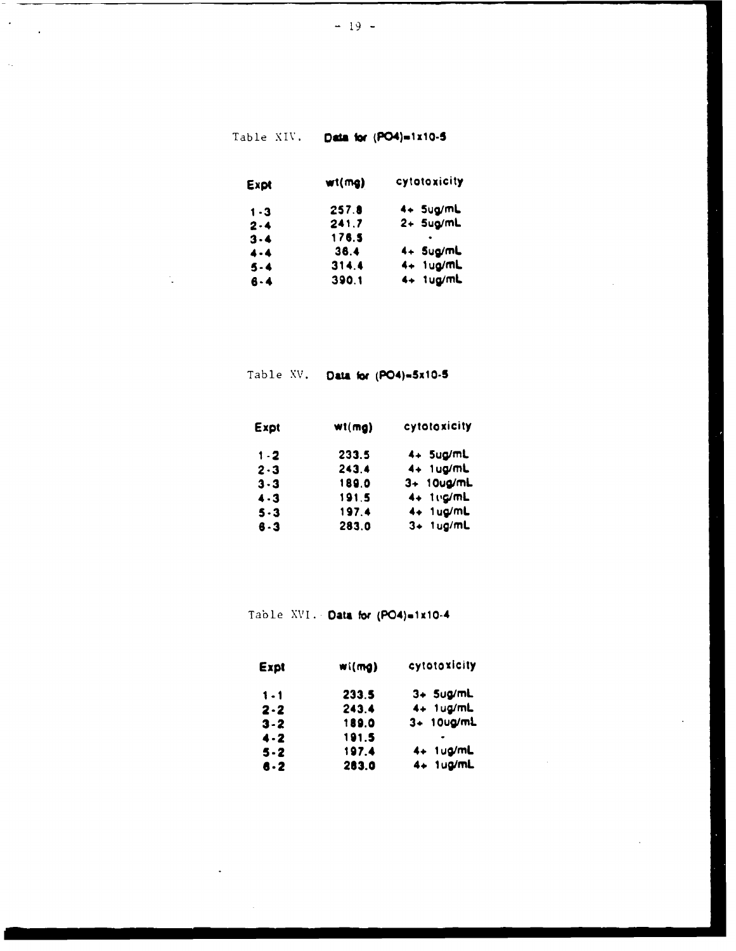| Table XIV. |  | Data for (PO4)=1x10-5 |
|------------|--|-----------------------|
|            |  |                       |

 $\mathcal{A}$ 

 $\hat{\mathcal{A}}_k$ 

 $\ddot{\phantom{a}}$ 

| Expt    | wt(mg) | cytotoxicity  |
|---------|--------|---------------|
| $1 - 3$ | 257.8  | 4+ 5ug/mL     |
| $2 - 4$ | 241.7  | $2 + 5$ ug/mL |
| $3 - 4$ | 176.5  |               |
| $4 - 4$ | 36.4   | 4+ Sug/mL     |
| 5-4     | 314.4  | 4+ 1ug/mL     |
| $6 - 4$ | 390.1  | 4+ 1ug/mL     |

|  |  | Table $XV$ . Data for $(PO4)=5x10-5$ |
|--|--|--------------------------------------|
|  |  |                                      |

| Expt    | wt(mg) | cytotoxicity |
|---------|--------|--------------|
| $1 - 2$ | 233.5  | 4+ Sug/mL    |
| $2 - 3$ | 243.4  | 4+ 1ug/mL    |
| $3 - 3$ | 189.0  | 3+ 10ug/mL   |
| $4 - 3$ | 191.5  | 4+ 1ug/mL    |
| $5 - 3$ | 197.4  | 4+ 1ug/mL    |
| $8 - 3$ | 283.0  | 3+ 1ug/mL    |

# Table XVI. Data for (PO4)=1x10-4

| Expt          | wi(mq) | cytotoxicity |
|---------------|--------|--------------|
| $1 - 1$       | 233.5  | 3+ 5ug/mL    |
| $2 - 2$       | 243.4  | 4+ 1ug/mL    |
| $3 - 2$       | 189.0  | 3+ 10ug/mL   |
| $4 - 2$       | 191.5  |              |
| $5 - 2$       | 197.4  | 4+ 1ug/mL    |
| $\bullet$ - 2 | 283.0  | 4+ 1ug/mL    |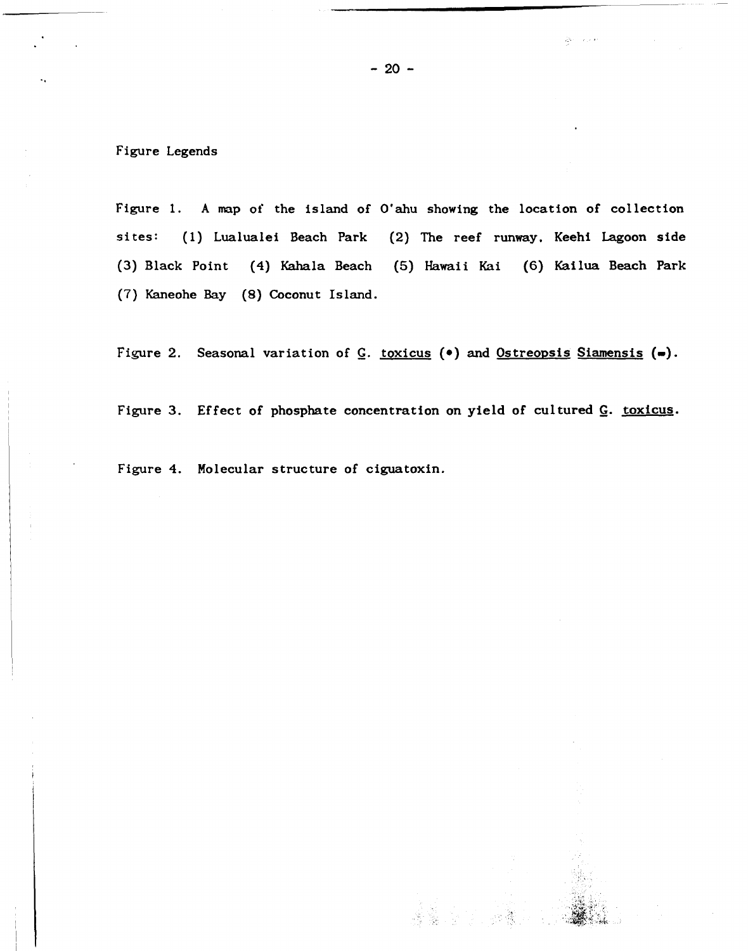Figure Legends

Figure **1.** A map of the island of O'ahu showing the location of collection sites: (1) Lualualei Beach Park (2) The reef runway. Keehi Lagoon side **(3)** Black Point (4) Kahala Beach **(5)** Hawaii Kai **(6)** Kailua Beach Park (7) Kaneohe Bay (8) Coconut Island.

Figure 2. Seasonal variation of **G.** toxicus **(o)** and Ostreopsis Siamensis *(-).*

Figure 3. Effect of phosphate concentration on yield of cultured **G.** toxicus.

Figure 4. Molecular structure of ciguatoxin.



ولأردني  $\mathcal{D}_{\mathbf{r}}$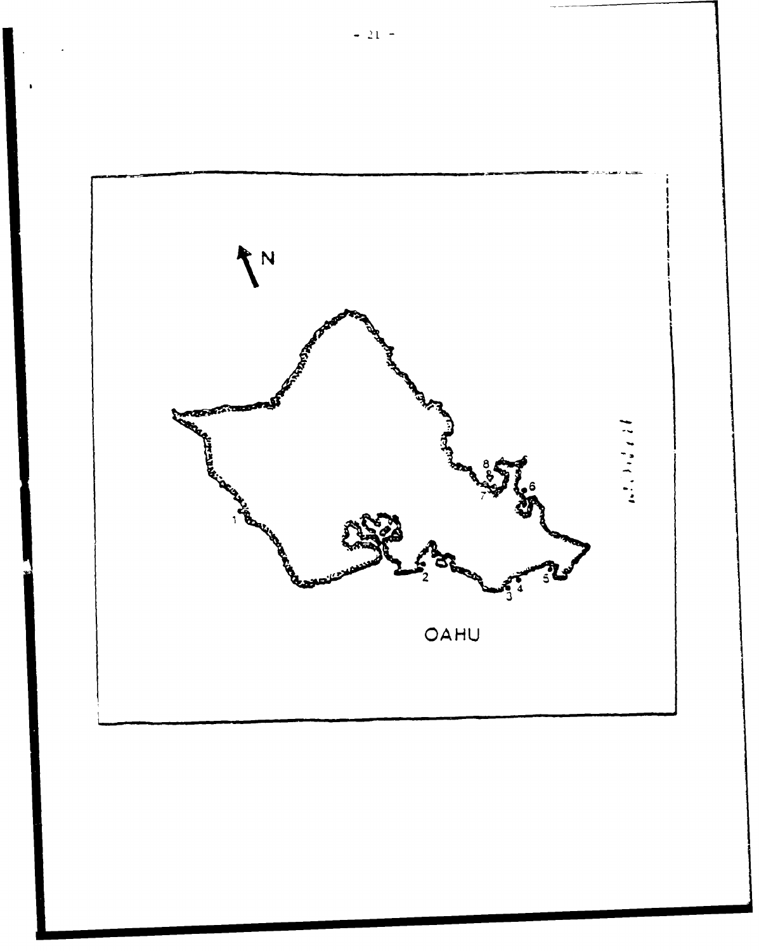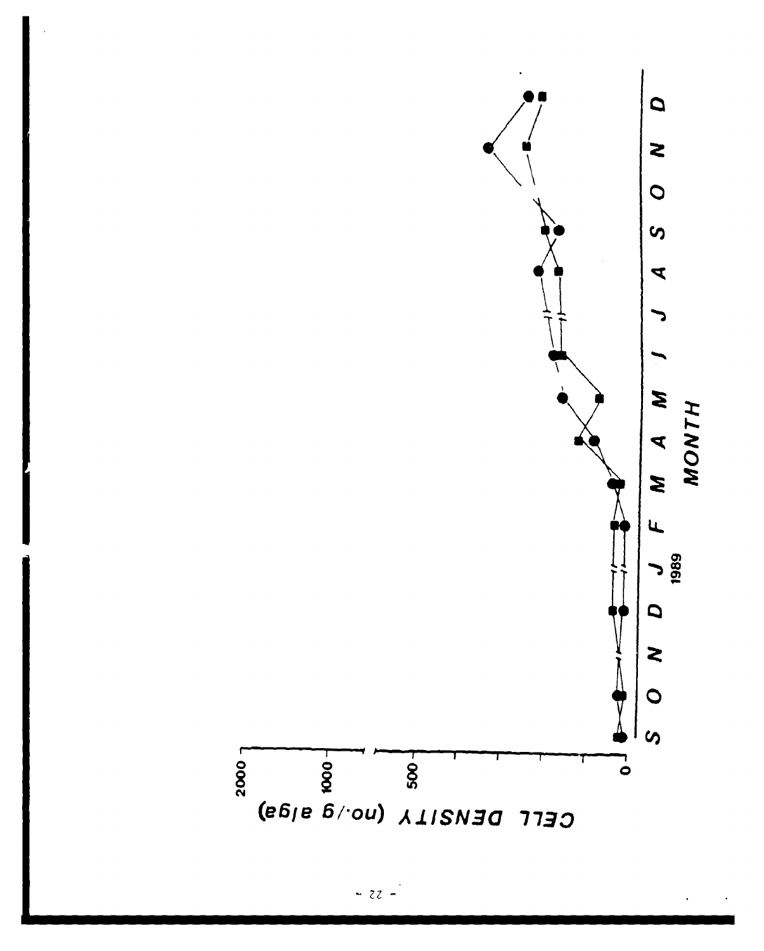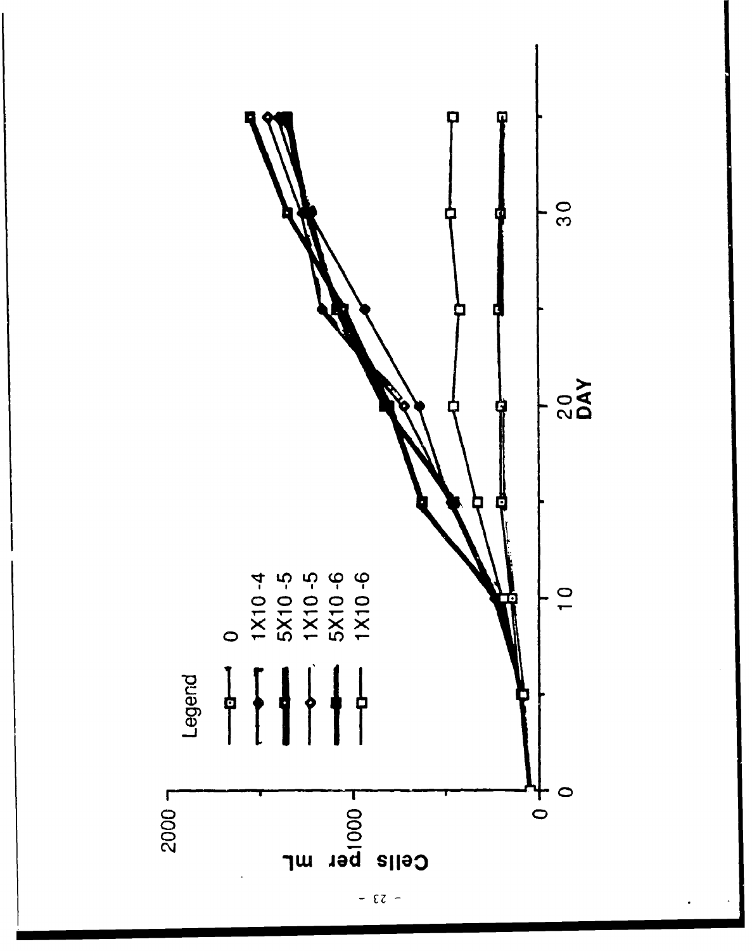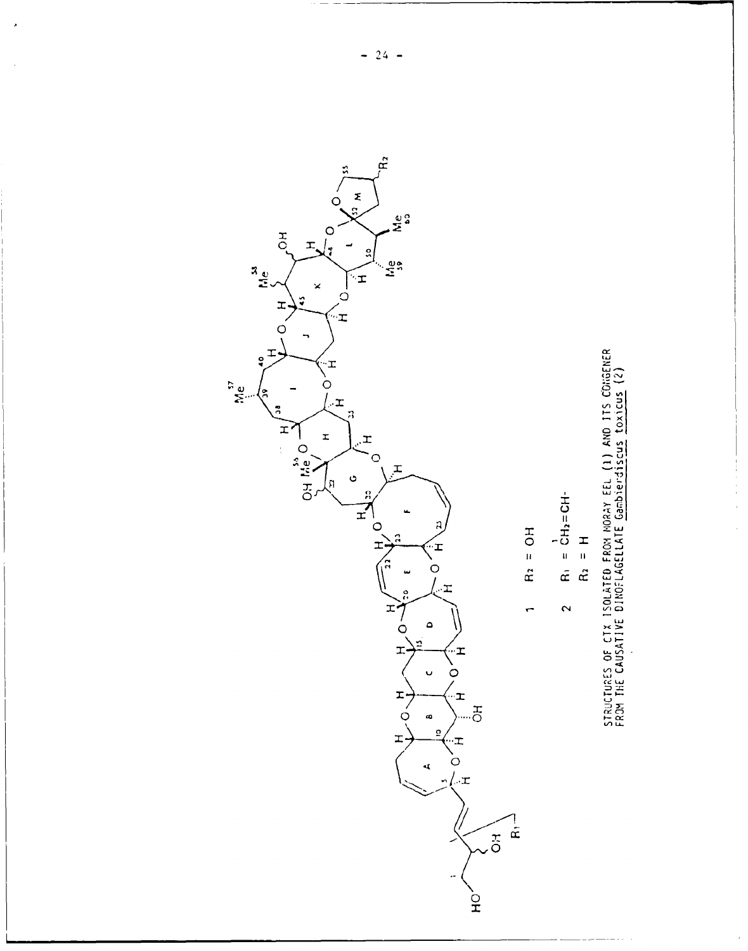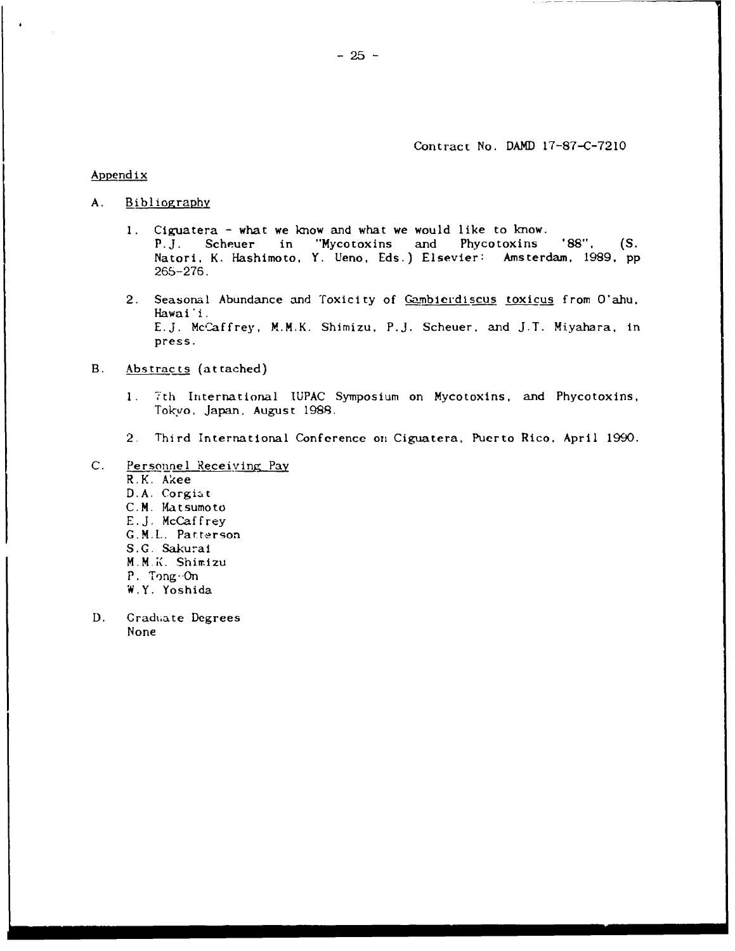# Contract No. DAMD 17-87-C-7210

#### Appendix

- A. Bibliography
	- 1. Ciguatera what we know and what we would like to know. P.J. Scheuer in "Mycotoxins and Phycotoxins **'88". (S.** Natori. K. Hashimoto, Y. Ueno, Eds.) Elsevier: Amsterdam, 1989. pp 265-276.
	- 2. Seasonal Abundance and Toxicity of Gambierdiscus toxicus from O'ahu. Hawai i. E.J. McCaffrey, M.MK. Shimizu. P.J. Scheuer. and J.T. Miyahara. in press.
- B. Abstracts (attached)
	- 1. 7th International IUPAC Symposium on Mycotoxins, and Phycotoxins, Tokyo. Japan, August 1988.
	- 2. Third International Conference on Ciguatera, Puerto Rico. April 1990.
- C. Personnel Receiving Pay
	- R.K. Akee D.A. Corgiat C.M. Matsumoto **E.J.** McCaffrey G.M.L. Patterson S.C. Sakurai M.M.K. Shimizu P. Tong-On W.Y. Yoshida
- D. Graduate Degrees None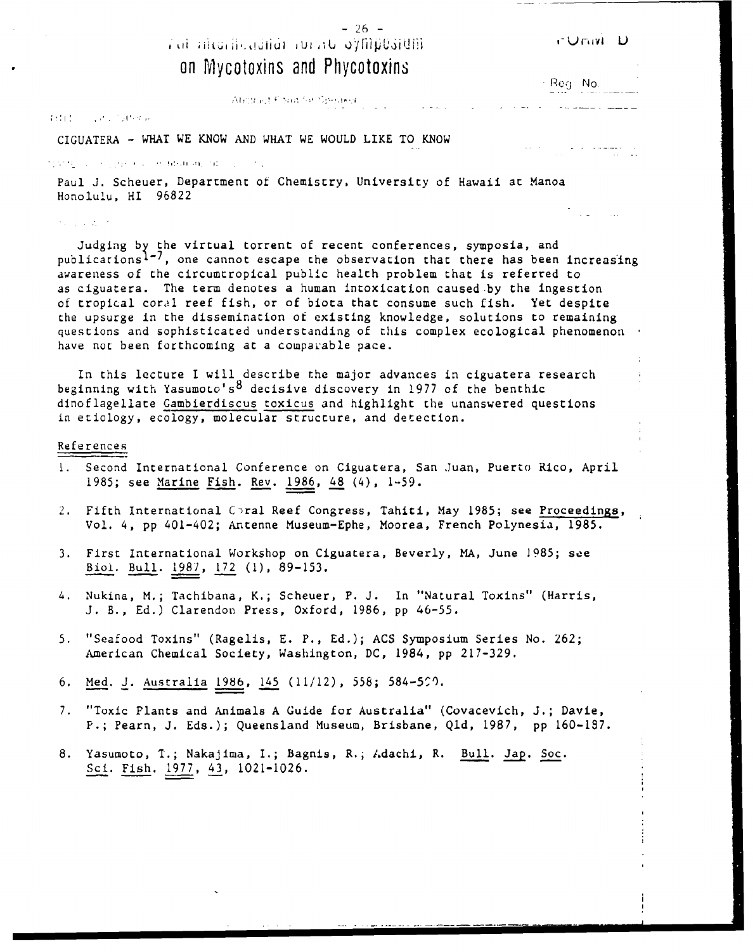**CONTROL** 

# **- 26 -**<br>Full micordication round o7MDD310Hi on Mycotoxins and Phycotoxins

Reg No.

t signification

#### adition and teneral

## CIGUATERA - *WHAT* WE KNOW AND WHAT WE WOULD LIKE TO KNOW

## space of the present the advanced to the state

Paul J. Scheuer, Department ot Chemistry, University of Hawaii at Manoa Honolulu, HI 96822

Atentian Form for Spenteer

# $\hat{c}_{\rm max}$  ,  $\hat{c}_{\rm max}$  ,

Judging by the virtual torrent of recent conferences, symposia, and publications<sup>1-7</sup>, one cannot escape the observation that there has been increasing awareness of the circumtropical public health problem that is referred to as ciguatera. The term denotes a human intoxication caused by the ingestion of tropical coral reef fish, or of biota that consume such fish. Yet despite the upsurge in the dissemination of existing knowledge, solutions to remaining questions and sophisticated understanding of this complex ecological phenomenon have not been forthcoming at a comparable pace.

In this lecture I will describe the major advances in ciguatera research beginning with Yasumoto's<sup>8</sup> decisive discovery in 1977 of the benthic dinoflagellate Gambierdiscus toxicus and highlight the unanswered questions in etiology, ecology, molecular structure, and detection.

### References

- **1.** Second International Conference on Ciguatera, San Juan, Puerto Rico, April 1985; see Marine Fish. Rev. 1986, 48 (4), 1-59.
- 2. Fifth International Coral Reef Congress, Tahiti, May 1985; see Proceedings, Vol. 4, pp 401-402; Antenne Museum-Ephe, Moorea, French Polynesia, 1985.
- 3. First International Workshop on Ciguatera, Beverly, MA, June 1985; see Biol. Bull. 1987, 172 (1), 89-153.
- 4. Nukina, M.; Tachibana, K.; Scheuer, P. J. In "Natural Toxins" (Harris, J. B., Ed.) Clarendon Press, Oxford, 1986, pp 46-55.
- 5. "Seafood Toxins" (Ragelis, E. P., Ed.); **ACS** Symposium Series No. 262; American Chemical Society, Washington, DC, 1984, pp 217-329.
- 6. Med. J. Australia 1986, 145 (11/12), 558; 584-500.
- 7. "Toxic Plants and Animals A Guide for Australia" (Covacevich, J.; Davie, P.; Pearn, **J.** Eds.); Queensland Museum, Brisbane, Qld, 1987, pp 160-187.
- 8. Yasumoto, **I.;** Nakajima, I.; Bagnis, R.; Adachi, R. Bull. Jap. Soc. Sci. Fish. 1977, 43, 1021-1026.